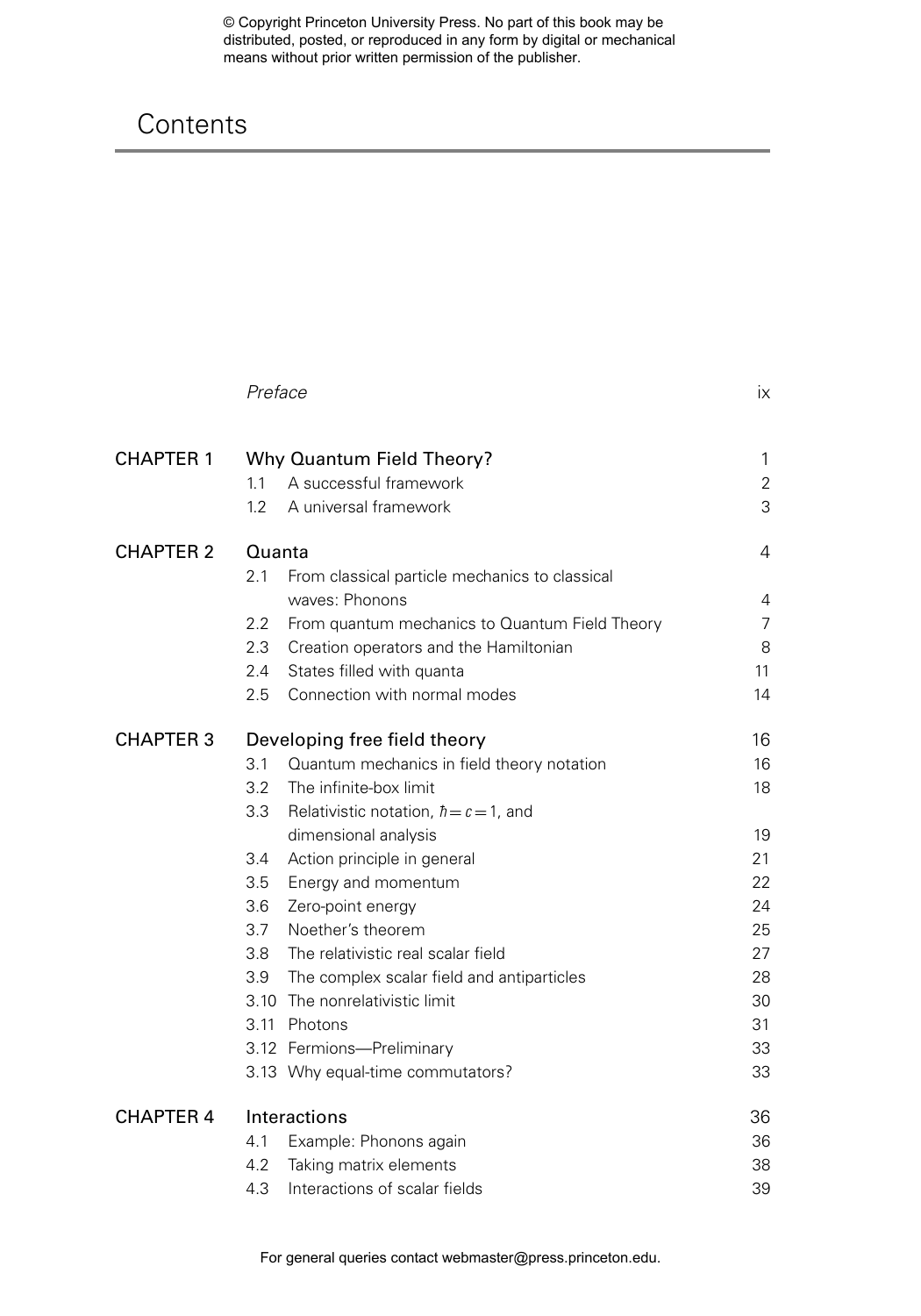## **Contents**

|                  | Preface                                               | İX |  |
|------------------|-------------------------------------------------------|----|--|
| <b>CHAPTER 1</b> | Why Quantum Field Theory?                             |    |  |
|                  | A successful framework<br>1.1                         | 2  |  |
|                  | 1.2<br>A universal framework                          | 3  |  |
| <b>CHAPTER 2</b> | Quanta                                                |    |  |
|                  | 2.1<br>From classical particle mechanics to classical |    |  |
|                  | waves: Phonons                                        | 4  |  |
|                  | 2.2<br>From quantum mechanics to Quantum Field Theory | 7  |  |
|                  | 2.3<br>Creation operators and the Hamiltonian         | 8  |  |
|                  | States filled with quanta<br>2.4                      | 11 |  |
|                  | 2.5<br>Connection with normal modes                   | 14 |  |
| <b>CHAPTER 3</b> | Developing free field theory                          | 16 |  |
|                  | 3.1<br>Quantum mechanics in field theory notation     | 16 |  |
|                  | 3.2<br>The infinite-box limit                         | 18 |  |
|                  | 3.3<br>Relativistic notation, $\hbar = c = 1$ , and   |    |  |
|                  | dimensional analysis                                  | 19 |  |
|                  | 3.4<br>Action principle in general                    | 21 |  |
|                  | 3.5<br>Energy and momentum                            | 22 |  |
|                  | 3.6<br>Zero-point energy                              | 24 |  |
|                  | 3.7<br>Noether's theorem                              | 25 |  |
|                  | 3.8<br>The relativistic real scalar field             | 27 |  |
|                  | The complex scalar field and antiparticles<br>3.9     | 28 |  |
|                  | 3.10<br>The nonrelativistic limit                     | 30 |  |
|                  | 3.11<br>Photons                                       | 31 |  |
|                  | 3.12 Fermions-Preliminary                             | 33 |  |
|                  | 3.13 Why equal-time commutators?                      | 33 |  |
| <b>CHAPTER 4</b> | Interactions                                          |    |  |
|                  | 4.1<br>Example: Phonons again                         | 36 |  |
|                  | Taking matrix elements<br>4.2                         | 38 |  |
|                  | 4.3<br>Interactions of scalar fields                  | 39 |  |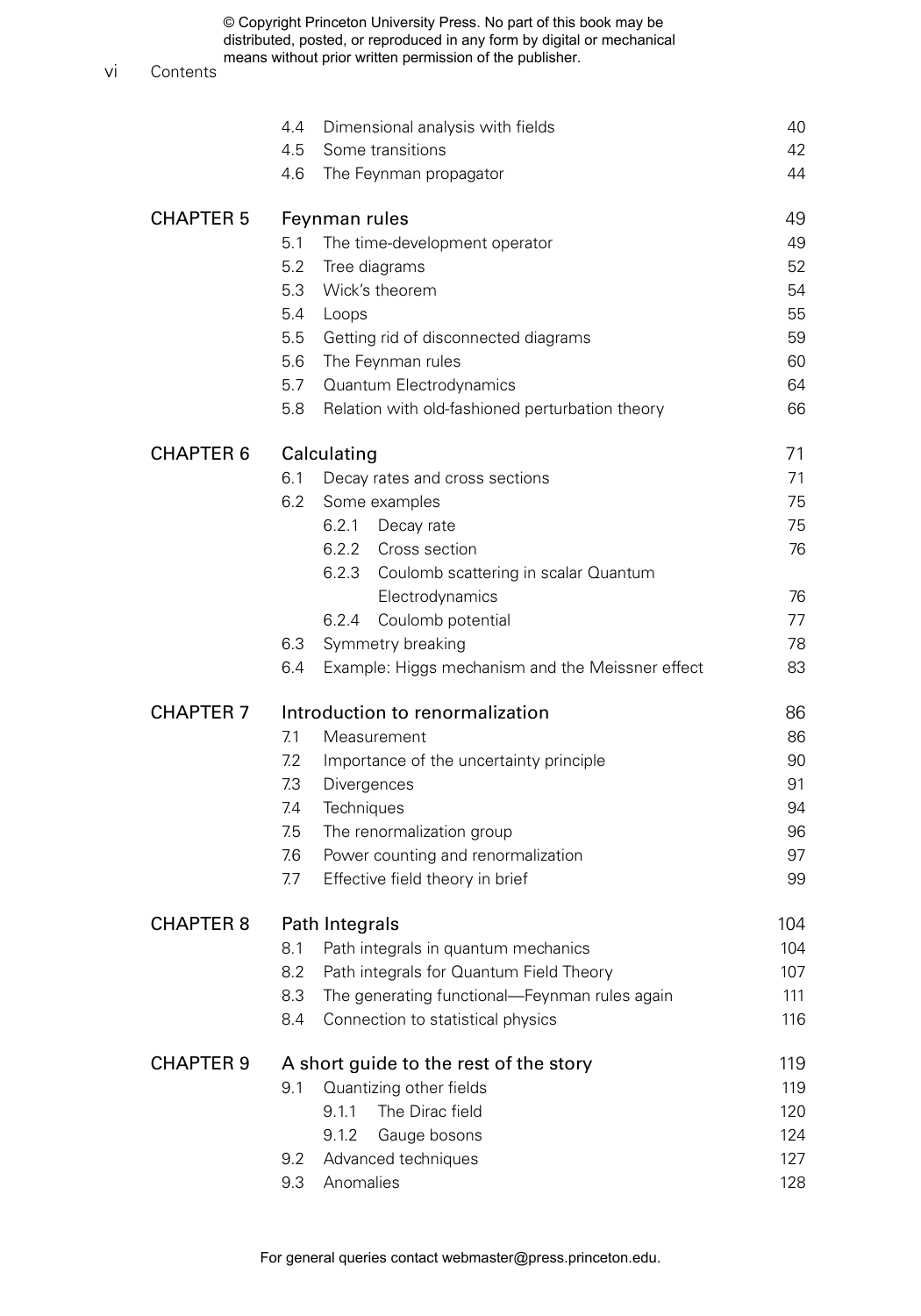### vi Contents

|                  | 4.4 | Dimensional analysis with fields                 | 40  |
|------------------|-----|--------------------------------------------------|-----|
|                  | 4.5 | Some transitions                                 | 42  |
|                  | 4.6 | The Feynman propagator                           | 44  |
| <b>CHAPTER 5</b> |     | Feynman rules                                    | 49  |
|                  | 5.1 | The time-development operator                    | 49  |
|                  | 5.2 | Tree diagrams                                    | 52  |
|                  | 5.3 | Wick's theorem                                   | 54  |
|                  | 5.4 | Loops                                            | 55  |
|                  | 5.5 | Getting rid of disconnected diagrams             | 59  |
|                  | 5.6 | The Feynman rules                                | 60  |
|                  | 5.7 | Quantum Electrodynamics                          | 64  |
|                  | 5.8 | Relation with old-fashioned perturbation theory  | 66  |
| <b>CHAPTER 6</b> |     | Calculating                                      | 71  |
|                  | 6.1 | Decay rates and cross sections                   | 71  |
|                  | 6.2 | Some examples                                    | 75  |
|                  |     | 6.2.1<br>Decay rate                              | 75  |
|                  |     | 6.2.2 Cross section                              | 76  |
|                  |     | 6.2.3 Coulomb scattering in scalar Quantum       |     |
|                  |     | Electrodynamics                                  | 76  |
|                  |     | 6.2.4 Coulomb potential                          | 77  |
|                  | 6.3 | Symmetry breaking                                | 78  |
|                  | 6.4 | Example: Higgs mechanism and the Meissner effect | 83  |
| <b>CHAPTER 7</b> |     | Introduction to renormalization                  | 86  |
|                  | 7.1 | Measurement                                      | 86  |
|                  | 7.2 | Importance of the uncertainty principle          | 90  |
|                  | 7.3 | Divergences                                      | 91  |
|                  | 7.4 | Techniques                                       | 94  |
|                  | 7.5 | The renormalization group                        | 96  |
|                  | 7.6 | Power counting and renormalization               | 97  |
|                  | 7.7 | Effective field theory in brief                  | 99  |
| <b>CHAPTER 8</b> |     | Path Integrals                                   | 104 |
|                  | 8.1 | Path integrals in quantum mechanics              | 104 |
|                  | 8.2 | Path integrals for Quantum Field Theory          | 107 |
|                  | 8.3 | The generating functional-Feynman rules again    | 111 |
|                  | 8.4 | Connection to statistical physics                | 116 |
| <b>CHAPTER 9</b> |     | A short guide to the rest of the story           | 119 |
|                  | 9.1 | Quantizing other fields                          | 119 |
|                  |     | 9.1.1<br>The Dirac field                         | 120 |
|                  |     | 9.1.2<br>Gauge bosons                            | 124 |
|                  | 9.2 | Advanced techniques                              | 127 |
|                  | 9.3 | Anomalies                                        | 128 |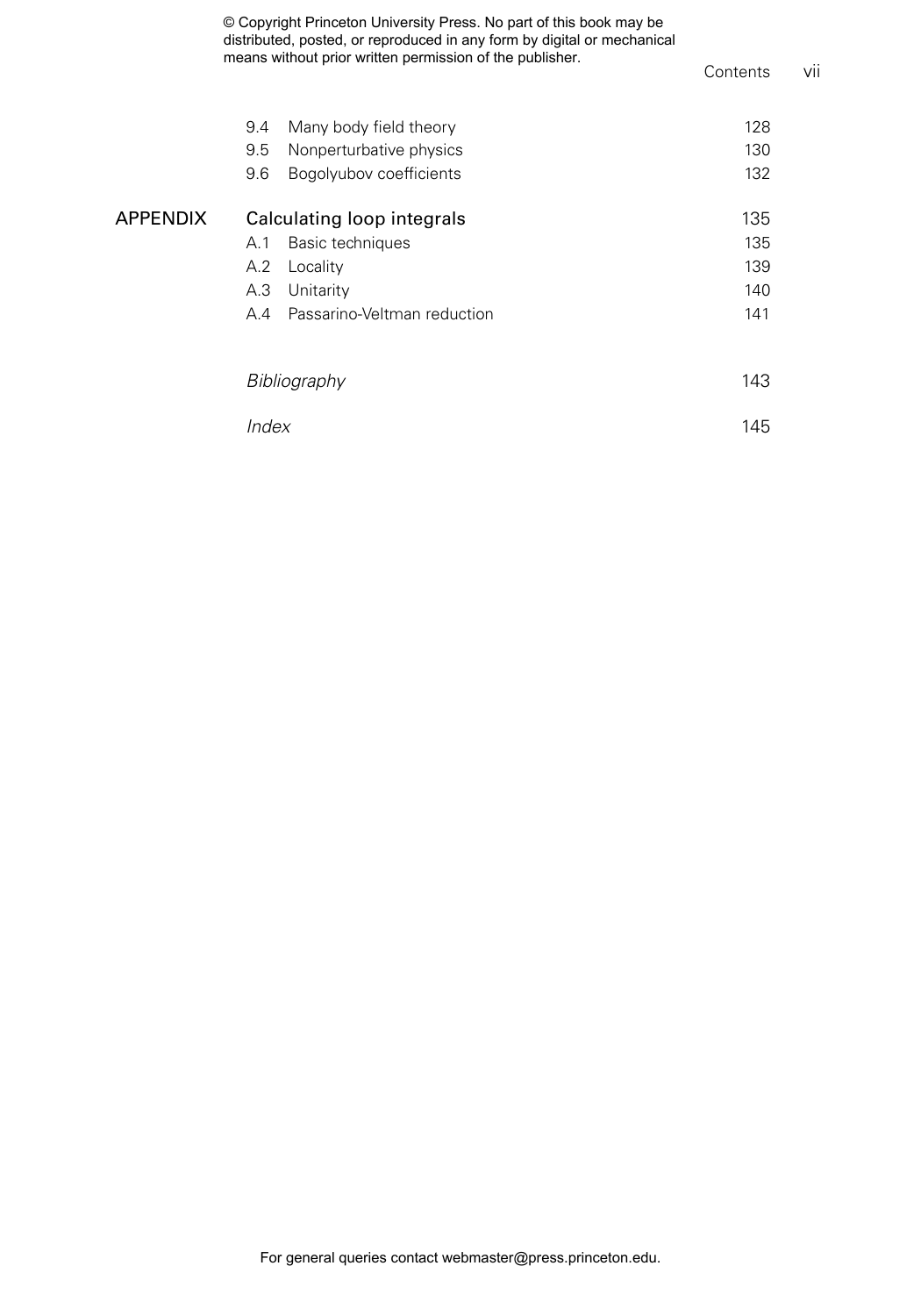| © Copyright Princeton University Press. No part of this book may be     |  |
|-------------------------------------------------------------------------|--|
| distributed, posted, or reproduced in any form by digital or mechanical |  |
| means without prior written permission of the publisher.                |  |

|          | Many body field theory<br>9.4      | 128 |
|----------|------------------------------------|-----|
|          | Nonperturbative physics<br>9.5     | 130 |
|          | Bogolyubov coefficients<br>9.6     | 132 |
| APPENDIX | Calculating loop integrals         | 135 |
|          | Basic techniques<br>A.1            | 135 |
|          | Locality<br>A.2                    | 139 |
|          | Unitarity<br>A.3                   | 140 |
|          | Passarino-Veltman reduction<br>A.4 | 141 |
|          |                                    |     |
|          | Bibliography                       | 143 |
|          | Index                              | 145 |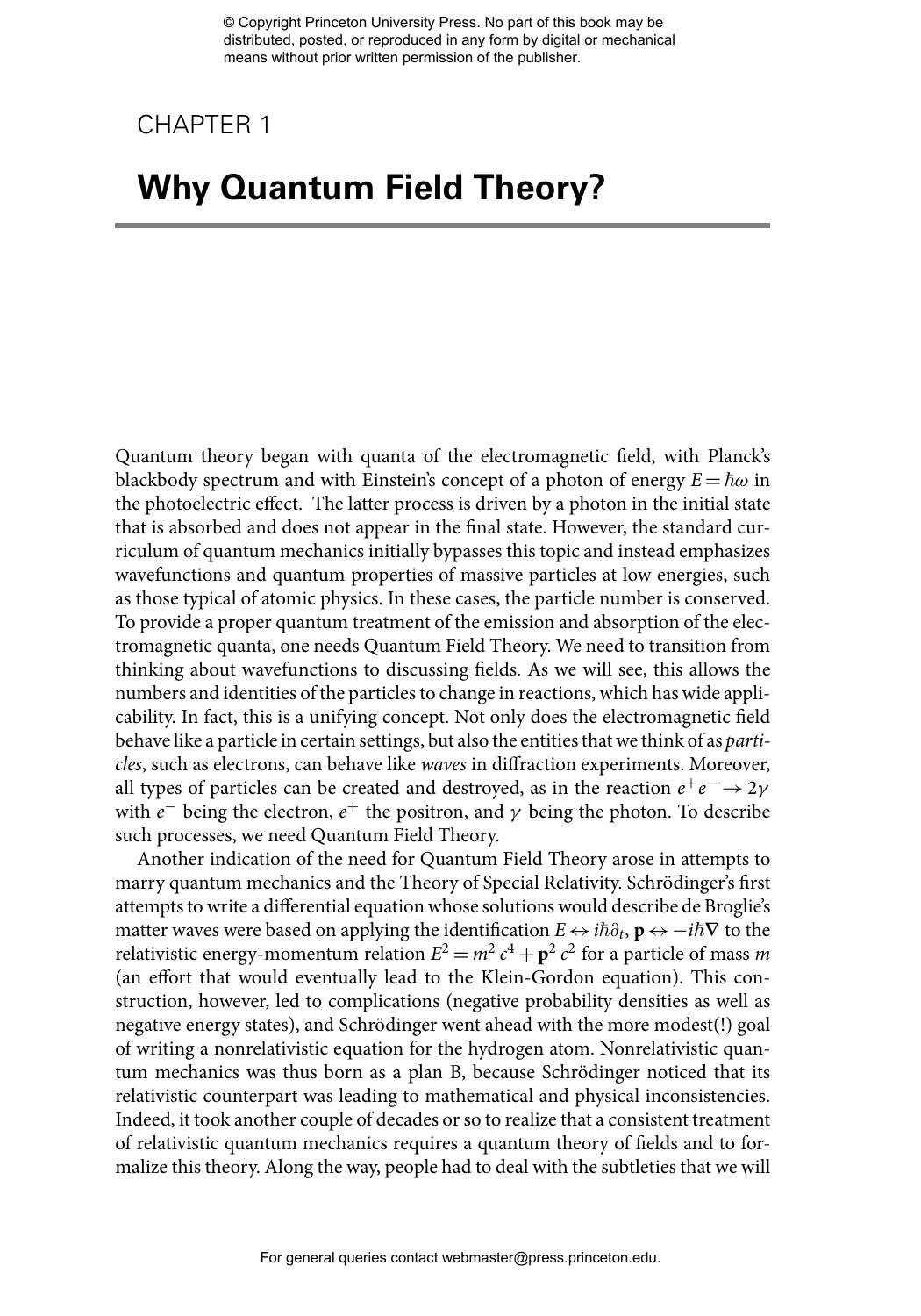### CHAPTER 1

# **Why Quantum Field Theory?**

Quantum theory began with quanta of the electromagnetic field, with Planck's blackbody spectrum and with Einstein's concept of a photon of energy  $E = \hbar \omega$  in the photoelectric effect. The latter process is driven by a photon in the initial state that is absorbed and does not appear in the final state. However, the standard curriculum of quantum mechanics initially bypasses this topic and instead emphasizes wavefunctions and quantum properties of massive particles at low energies, such as those typical of atomic physics. In these cases, the particle number is conserved. To provide a proper quantum treatment of the emission and absorption of the electromagnetic quanta, one needs Quantum Field Theory. We need to transition from thinking about wavefunctions to discussing fields. As we will see, this allows the numbers and identities of the particles to change in reactions, which has wide applicability. In fact, this is a unifying concept. Not only does the electromagnetic field behave like a particle in certain settings, but also the entities that we think of as *particles*, such as electrons, can behave like *waves* in diffraction experiments. Moreover, all types of particles can be created and destroyed, as in the reaction  $e^+e^- \rightarrow 2\gamma$ with  $e^-$  being the electron,  $e^+$  the positron, and  $\gamma$  being the photon. To describe such processes, we need Quantum Field Theory.

Another indication of the need for Quantum Field Theory arose in attempts to marry quantum mechanics and the Theory of Special Relativity. Schrödinger's first attempts to write a differential equation whose solutions would describe de Broglie's matter waves were based on applying the identification  $E \leftrightarrow i\hbar \partial_t$ ,  $\mathbf{p} \leftrightarrow -i\hbar \nabla$  to the relativistic energy-momentum relation  $E^2 = m^2 c^4 + p^2 c^2$  for a particle of mass *m* (an effort that would eventually lead to the Klein-Gordon equation). This construction, however, led to complications (negative probability densities as well as negative energy states), and Schrödinger went ahead with the more modest(!) goal of writing a nonrelativistic equation for the hydrogen atom. Nonrelativistic quantum mechanics was thus born as a plan B, because Schrödinger noticed that its relativistic counterpart was leading to mathematical and physical inconsistencies. Indeed, it took another couple of decades or so to realize that a consistent treatment of relativistic quantum mechanics requires a quantum theory of fields and to formalize this theory. Along the way, people had to deal with the subtleties that we will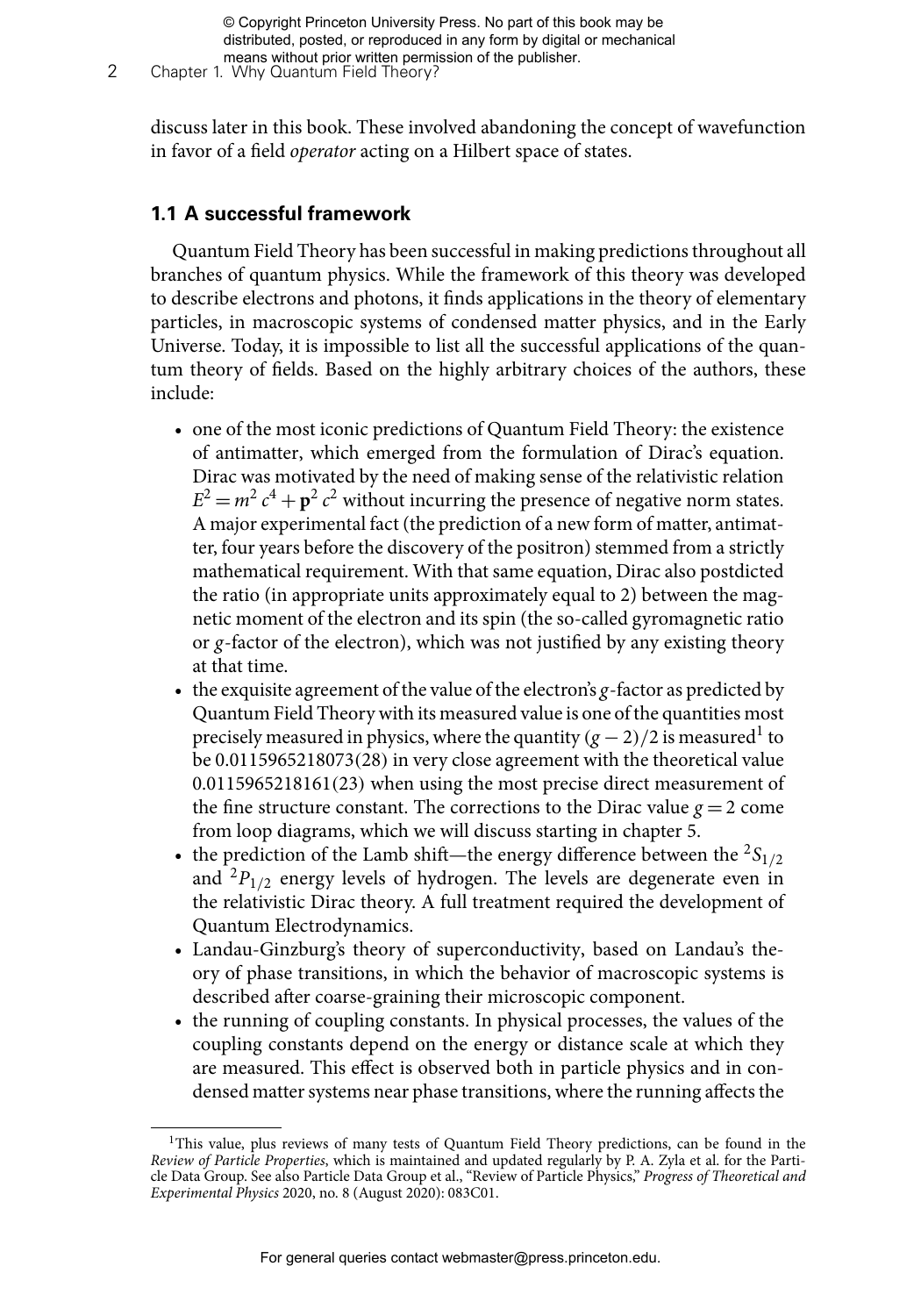discuss later in this book. These involved abandoning the concept of wavefunction in favor of a field *operator* acting on a Hilbert space of states.

### **1.1 A successful framework**

Quantum Field Theory has been successful in making predictions throughout all branches of quantum physics. While the framework of this theory was developed to describe electrons and photons, it finds applications in the theory of elementary particles, in macroscopic systems of condensed matter physics, and in the Early Universe. Today, it is impossible to list all the successful applications of the quantum theory of fields. Based on the highly arbitrary choices of the authors, these include:

- one of the most iconic predictions of Quantum Field Theory: the existence of antimatter, which emerged from the formulation of Dirac's equation. Dirac was motivated by the need of making sense of the relativistic relation  $E^2 = m^2 c^4 + p^2 c^2$  without incurring the presence of negative norm states. A major experimental fact (the prediction of a new form of matter, antimatter, four years before the discovery of the positron) stemmed from a strictly mathematical requirement. With that same equation, Dirac also postdicted the ratio (in appropriate units approximately equal to 2) between the magnetic moment of the electron and its spin (the so-called gyromagnetic ratio or *g*-factor of the electron), which was not justified by any existing theory at that time.
- the exquisite agreement of the value of the electron's *g*-factor as predicted by Quantum Field Theory with its measured value is one of the quantities most precisely measured in physics, where the quantity  $(g - 2)/2$  is measured<sup>1</sup> to be 0.0115965218073(28) in very close agreement with the theoretical value 0.0115965218161(23) when using the most precise direct measurement of the fine structure constant. The corrections to the Dirac value  $g = 2$  come from loop diagrams, which we will discuss starting in chapter 5.
- the prediction of the Lamb shift—the energy difference between the  ${}^{2}S_{1/2}$ and  ${}^{2}P_{1/2}$  energy levels of hydrogen. The levels are degenerate even in the relativistic Dirac theory. A full treatment required the development of Quantum Electrodynamics.
- Landau-Ginzburg's theory of superconductivity, based on Landau's theory of phase transitions, in which the behavior of macroscopic systems is described after coarse-graining their microscopic component.
- the running of coupling constants. In physical processes, the values of the coupling constants depend on the energy or distance scale at which they are measured. This effect is observed both in particle physics and in condensed matter systems near phase transitions, where the running affects the

<sup>&</sup>lt;sup>1</sup>This value, plus reviews of many tests of Quantum Field Theory predictions, can be found in the *Review of Particle Properties*, which is maintained and updated regularly by P. A. Zyla et al. for the Particle Data Group. See also Particle Data Group et al., "Review of Particle Physics," *Progress of Theoretical and Experimental Physics* 2020, no. 8 (August 2020): 083C01.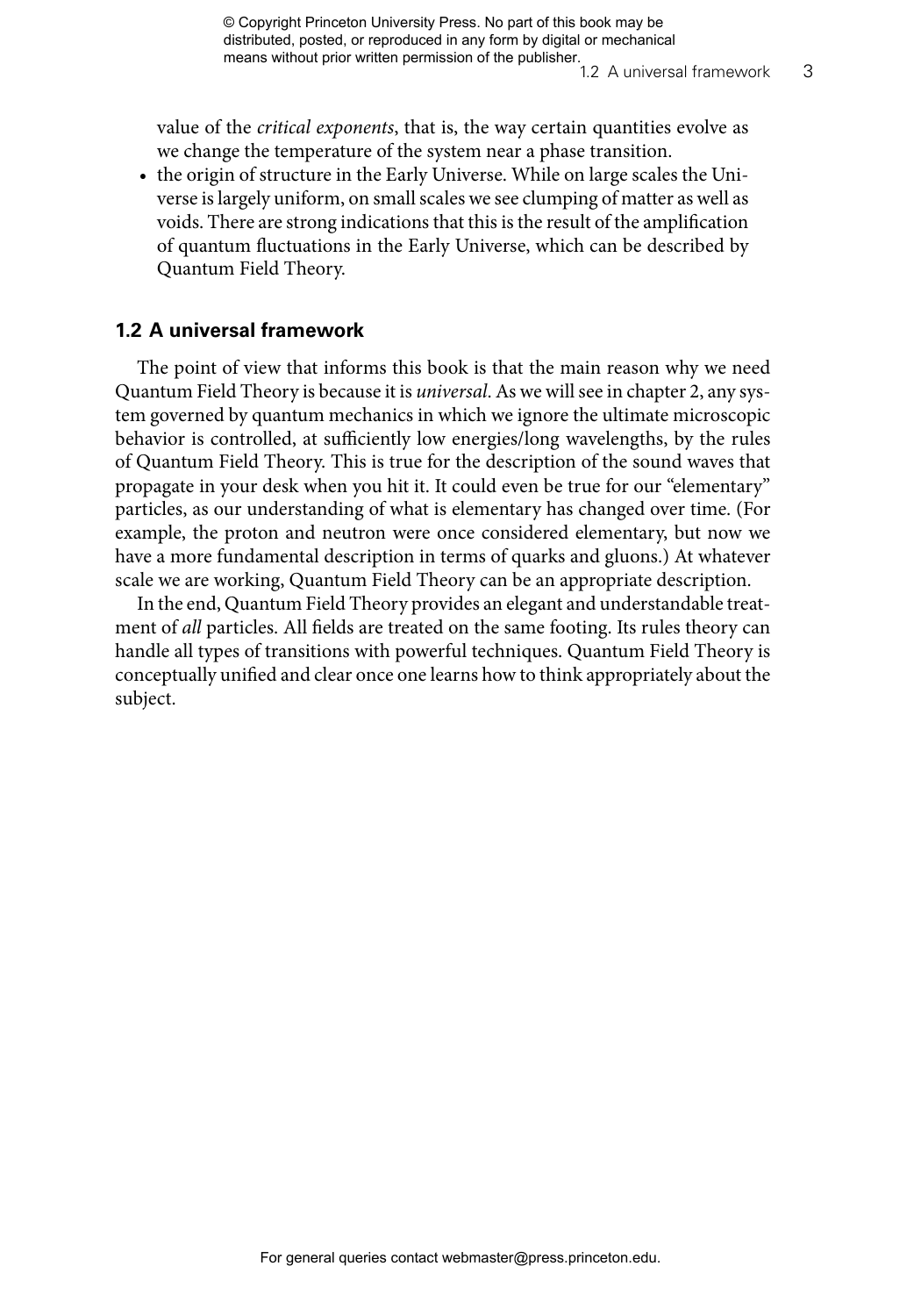value of the *critical exponents*, that is, the way certain quantities evolve as we change the temperature of the system near a phase transition.

• the origin of structure in the Early Universe. While on large scales the Universe is largely uniform, on small scales we see clumping of matter as well as voids. There are strong indications that this is the result of the amplification of quantum fluctuations in the Early Universe, which can be described by Quantum Field Theory.

### **1.2 A universal framework**

The point of view that informs this book is that the main reason why we need Quantum Field Theory is because it is *universal*. As we will see in chapter 2, any system governed by quantum mechanics in which we ignore the ultimate microscopic behavior is controlled, at sufficiently low energies/long wavelengths, by the rules of Quantum Field Theory. This is true for the description of the sound waves that propagate in your desk when you hit it. It could even be true for our "elementary" particles, as our understanding of what is elementary has changed over time. (For example, the proton and neutron were once considered elementary, but now we have a more fundamental description in terms of quarks and gluons.) At whatever scale we are working, Quantum Field Theory can be an appropriate description.

In the end, Quantum Field Theory provides an elegant and understandable treatment of *all* particles. All fields are treated on the same footing. Its rules theory can handle all types of transitions with powerful techniques. Quantum Field Theory is conceptually unified and clear once one learns how to think appropriately about the subject.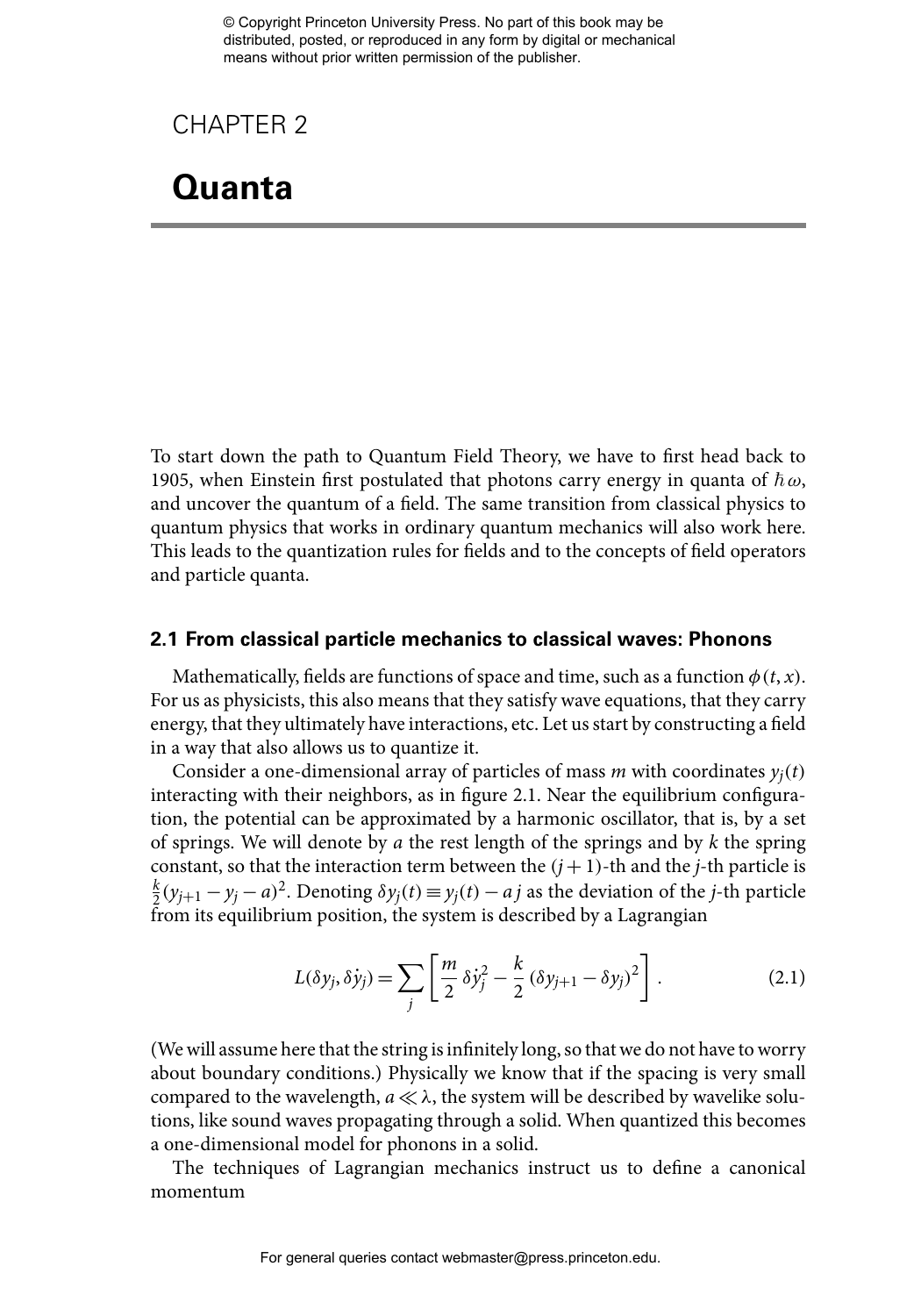## CHAPTER 2

## **Quanta**

To start down the path to Quantum Field Theory, we have to first head back to 1905, when Einstein first postulated that photons carry energy in quanta of  $\hbar \omega$ , and uncover the quantum of a field. The same transition from classical physics to quantum physics that works in ordinary quantum mechanics will also work here. This leads to the quantization rules for fields and to the concepts of field operators and particle quanta.

### **2.1 From classical particle mechanics to classical waves: Phonons**

Mathematically, fields are functions of space and time, such as a function  $\phi(t, x)$ . For us as physicists, this also means that they satisfy wave equations, that they carry energy, that they ultimately have interactions, etc. Let us start by constructing a field in a way that also allows us to quantize it.

Consider a one-dimensional array of particles of mass *m* with coordinates  $y_i(t)$ interacting with their neighbors, as in figure 2.1. Near the equilibrium configuration, the potential can be approximated by a harmonic oscillator, that is, by a set of springs. We will denote by *a* the rest length of the springs and by *k* the spring constant, so that the interaction term between the  $(j + 1)$ -th and the *j*-th particle is *k* <sup>2</sup> (*yj*+<sup>1</sup> <sup>−</sup> *yj* <sup>−</sup> *<sup>a</sup>*)2. Denoting <sup>δ</sup>*yj*(*t*) <sup>≡</sup> *yj*(*t*) <sup>−</sup> *a j* as the deviation of the *<sup>j</sup>*-th particle from its equilibrium position, the system is described by a Lagrangian

$$
L(\delta y_j, \delta \dot{y}_j) = \sum_j \left[ \frac{m}{2} \delta \dot{y}_j^2 - \frac{k}{2} (\delta y_{j+1} - \delta y_j)^2 \right].
$$
 (2.1)

(We will assume here that the string is infinitely long, so that we do not have to worry about boundary conditions.) Physically we know that if the spacing is very small compared to the wavelength,  $a \ll \lambda$ , the system will be described by wavelike solutions, like sound waves propagating through a solid. When quantized this becomes a one-dimensional model for phonons in a solid.

The techniques of Lagrangian mechanics instruct us to define a canonical momentum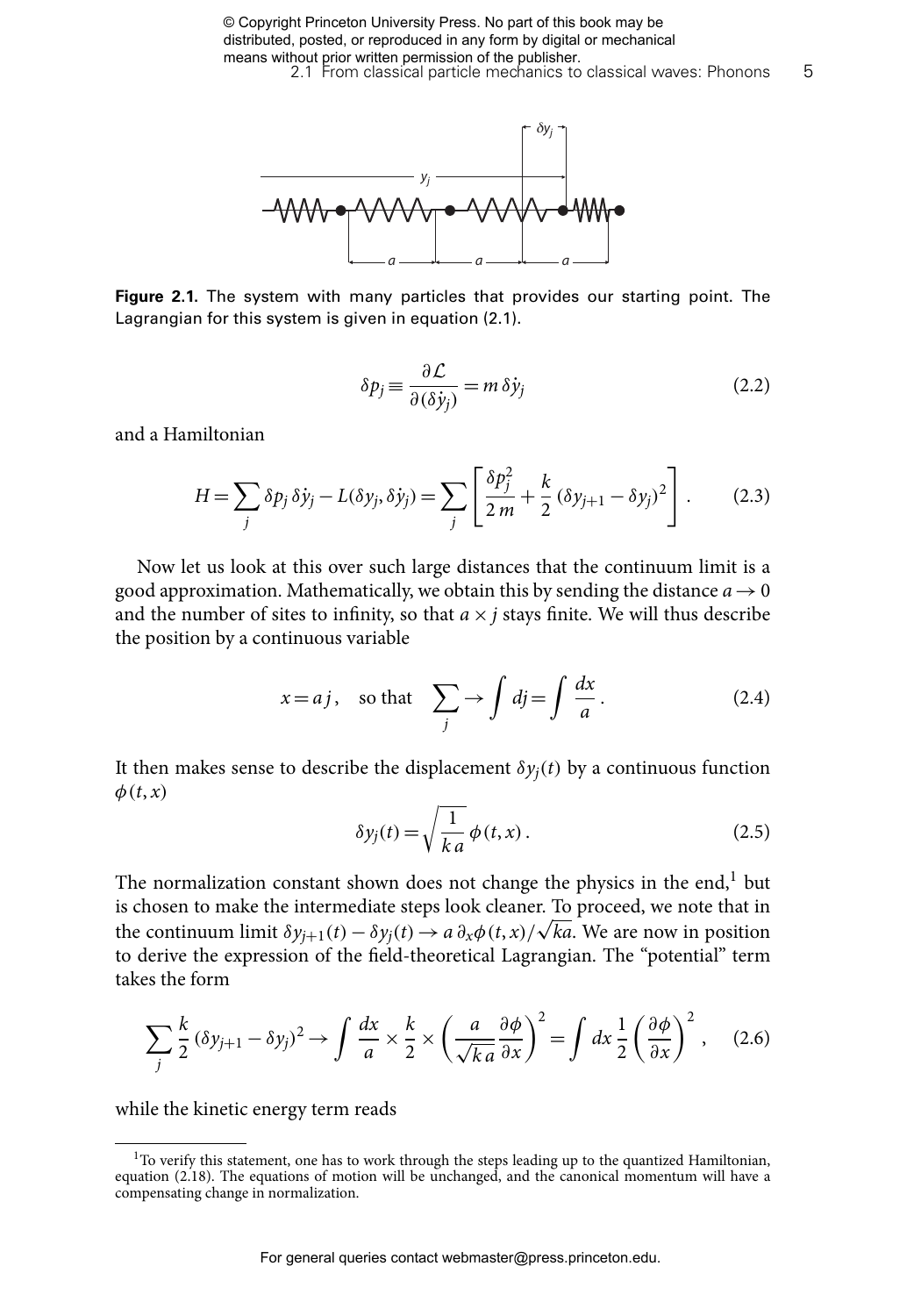

**Figure 2.1.** The system with many particles that provides our starting point. The Lagrangian for this system is given in equation (2.1).

$$
\delta p_j \equiv \frac{\partial \mathcal{L}}{\partial (\delta \dot{y}_j)} = m \delta \dot{y}_j \tag{2.2}
$$

and a Hamiltonian

$$
H = \sum_{j} \delta p_j \, \delta \dot{y}_j - L(\delta y_j, \delta \dot{y}_j) = \sum_{j} \left[ \frac{\delta p_j^2}{2 \, m} + \frac{k}{2} \left( \delta y_{j+1} - \delta y_j \right)^2 \right]. \tag{2.3}
$$

Now let us look at this over such large distances that the continuum limit is a good approximation. Mathematically, we obtain this by sending the distance  $a \rightarrow 0$ and the number of sites to infinity, so that  $a \times j$  stays finite. We will thus describe the position by a continuous variable

$$
x = aj
$$
, so that  $\sum_{j} \rightarrow \int dj = \int \frac{dx}{a}$ . (2.4)

It then makes sense to describe the displacement  $\delta y_j(t)$  by a continuous function  $\phi(t, x)$ 

$$
\delta y_j(t) = \sqrt{\frac{1}{k a}} \phi(t, x).
$$
 (2.5)

The normalization constant shown does not change the physics in the end,<sup>1</sup> but is chosen to make the intermediate steps look cleaner. To proceed, we note that in the continuum limit  $\delta y_{j+1}(t) - \delta y_j(t) \rightarrow a \partial_x \phi(t, x) / \sqrt{k a}$ . We are now in position to derive the expression of the field-theoretical Lagrangian. The "potential" term takes the form

$$
\sum_{j} \frac{k}{2} (\delta y_{j+1} - \delta y_j)^2 \to \int \frac{dx}{a} \times \frac{k}{2} \times \left( \frac{a}{\sqrt{ka}} \frac{\partial \phi}{\partial x} \right)^2 = \int dx \frac{1}{2} \left( \frac{\partial \phi}{\partial x} \right)^2, \quad (2.6)
$$

while the kinetic energy term reads

 $1$ To verify this statement, one has to work through the steps leading up to the quantized Hamiltonian, equation (2.18). The equations of motion will be unchanged, and the canonical momentum will have a compensating change in normalization.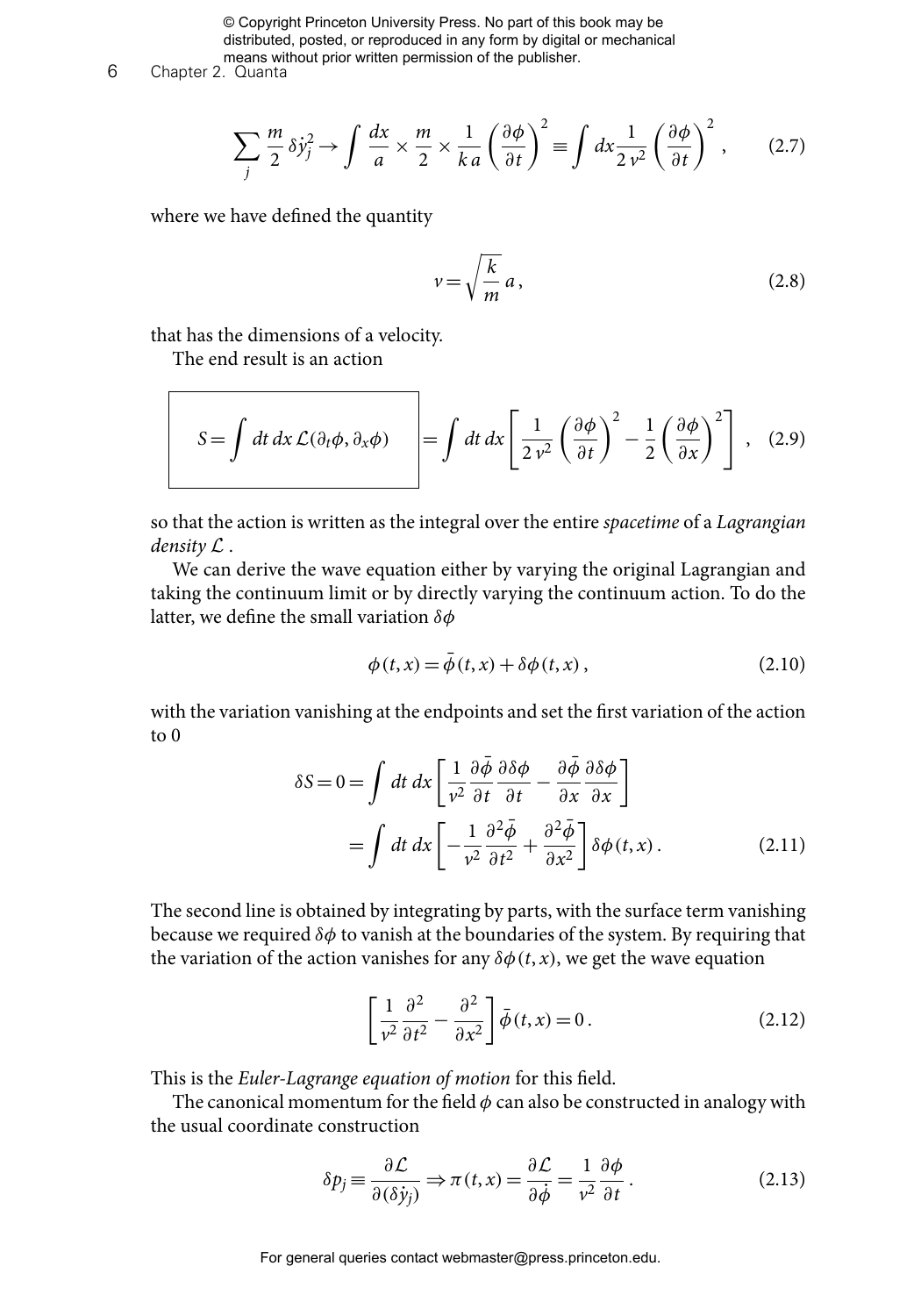6 Chapter 2. Quanta means without prior written permission of the publisher. © Copyright Princeton University Press. No part of this book may be distributed, posted, or reproduced in any form by digital or mechanical

$$
\sum_{j} \frac{m}{2} \delta \dot{y}_{j}^{2} \rightarrow \int \frac{dx}{a} \times \frac{m}{2} \times \frac{1}{ka} \left(\frac{\partial \phi}{\partial t}\right)^{2} \equiv \int dx \frac{1}{2 v^{2}} \left(\frac{\partial \phi}{\partial t}\right)^{2}, \qquad (2.7)
$$

where we have defined the quantity

$$
v = \sqrt{\frac{k}{m}} a, \qquad (2.8)
$$

that has the dimensions of a velocity.

The end result is an action

$$
S = \int dt dx \, \mathcal{L}(\partial_t \phi, \partial_x \phi) \qquad = \int dt dx \left[ \frac{1}{2 v^2} \left( \frac{\partial \phi}{\partial t} \right)^2 - \frac{1}{2} \left( \frac{\partial \phi}{\partial x} \right)^2 \right], \quad (2.9)
$$

so that the action is written as the integral over the entire *spacetime* of a *Lagrangian density L* .

We can derive the wave equation either by varying the original Lagrangian and taking the continuum limit or by directly varying the continuum action. To do the latter, we define the small variation  $\delta \phi$ 

$$
\phi(t,x) = \bar{\phi}(t,x) + \delta\phi(t,x), \qquad (2.10)
$$

with the variation vanishing at the endpoints and set the first variation of the action to 0

$$
\delta S = 0 = \int dt \, dx \left[ \frac{1}{v^2} \frac{\partial \bar{\phi}}{\partial t} \frac{\partial \delta \phi}{\partial t} - \frac{\partial \bar{\phi}}{\partial x} \frac{\partial \delta \phi}{\partial x} \right]
$$
  
= 
$$
\int dt \, dx \left[ -\frac{1}{v^2} \frac{\partial^2 \bar{\phi}}{\partial t^2} + \frac{\partial^2 \bar{\phi}}{\partial x^2} \right] \delta \phi(t, x) .
$$
 (2.11)

The second line is obtained by integrating by parts, with the surface term vanishing because we required  $\delta\phi$  to vanish at the boundaries of the system. By requiring that the variation of the action vanishes for any  $\delta\phi(t, x)$ , we get the wave equation

$$
\left[\frac{1}{v^2}\frac{\partial^2}{\partial t^2} - \frac{\partial^2}{\partial x^2}\right]\bar{\phi}(t,x) = 0.
$$
 (2.12)

This is the *Euler-Lagrange equation of motion* for this field.

The canonical momentum for the field  $\phi$  can also be constructed in analogy with the usual coordinate construction

$$
\delta p_j \equiv \frac{\partial \mathcal{L}}{\partial (\delta \dot{y}_j)} \Rightarrow \pi(t, x) = \frac{\partial \mathcal{L}}{\partial \dot{\phi}} = \frac{1}{v^2} \frac{\partial \phi}{\partial t}.
$$
 (2.13)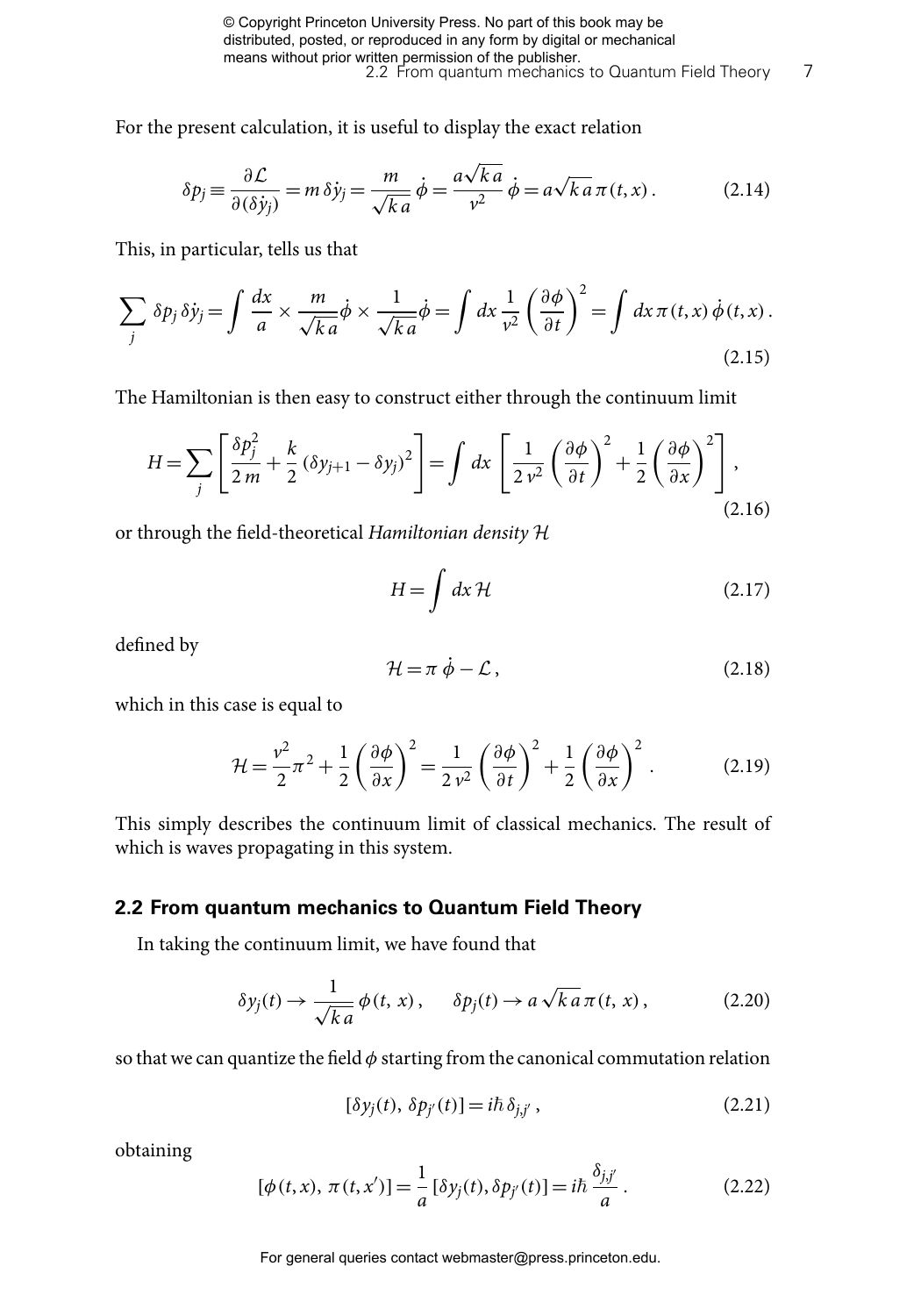For the present calculation, it is useful to display the exact relation

$$
\delta p_j \equiv \frac{\partial \mathcal{L}}{\partial (\delta \dot{y}_j)} = m \delta \dot{y}_j = \frac{m}{\sqrt{k a}} \dot{\phi} = \frac{a \sqrt{k a}}{v^2} \dot{\phi} = a \sqrt{k a} \pi(t, x).
$$
 (2.14)

This, in particular, tells us that

$$
\sum_{j} \delta p_{j} \delta \dot{y}_{j} = \int \frac{dx}{a} \times \frac{m}{\sqrt{ka}} \dot{\phi} \times \frac{1}{\sqrt{ka}} \dot{\phi} = \int dx \frac{1}{v^{2}} \left(\frac{\partial \phi}{\partial t}\right)^{2} = \int dx \pi(t, x) \dot{\phi}(t, x).
$$
\n(2.15)

The Hamiltonian is then easy to construct either through the continuum limit

$$
H = \sum_{j} \left[ \frac{\delta p_j^2}{2m} + \frac{k}{2} (\delta y_{j+1} - \delta y_j)^2 \right] = \int dx \left[ \frac{1}{2v^2} \left( \frac{\partial \phi}{\partial t} \right)^2 + \frac{1}{2} \left( \frac{\partial \phi}{\partial x} \right)^2 \right],
$$
\n(2.16)

or through the field-theoretical *Hamiltonian density H*

$$
H = \int dx \, \mathcal{H} \tag{2.17}
$$

defined by

$$
\mathcal{H} = \pi \dot{\phi} - \mathcal{L},\qquad(2.18)
$$

which in this case is equal to

$$
\mathcal{H} = \frac{v^2}{2}\pi^2 + \frac{1}{2}\left(\frac{\partial\phi}{\partial x}\right)^2 = \frac{1}{2v^2}\left(\frac{\partial\phi}{\partial t}\right)^2 + \frac{1}{2}\left(\frac{\partial\phi}{\partial x}\right)^2.
$$
 (2.19)

This simply describes the continuum limit of classical mechanics. The result of which is waves propagating in this system.

### **2.2 From quantum mechanics to Quantum Field Theory**

In taking the continuum limit, we have found that

$$
\delta y_j(t) \to \frac{1}{\sqrt{ka}} \phi(t, x), \quad \delta p_j(t) \to a \sqrt{ka} \pi(t, x), \quad (2.20)
$$

so that we can quantize the field  $\phi$  starting from the canonical commutation relation

$$
[\delta y_j(t), \delta p_{j'}(t)] = i\hbar \,\delta_{j,j'}\,,\tag{2.21}
$$

obtaining

$$
[\phi(t, x), \pi(t, x')] = \frac{1}{a} [\delta y_j(t), \delta p_{j'}(t)] = i\hbar \frac{\delta_{j,j'}}{a}.
$$
 (2.22)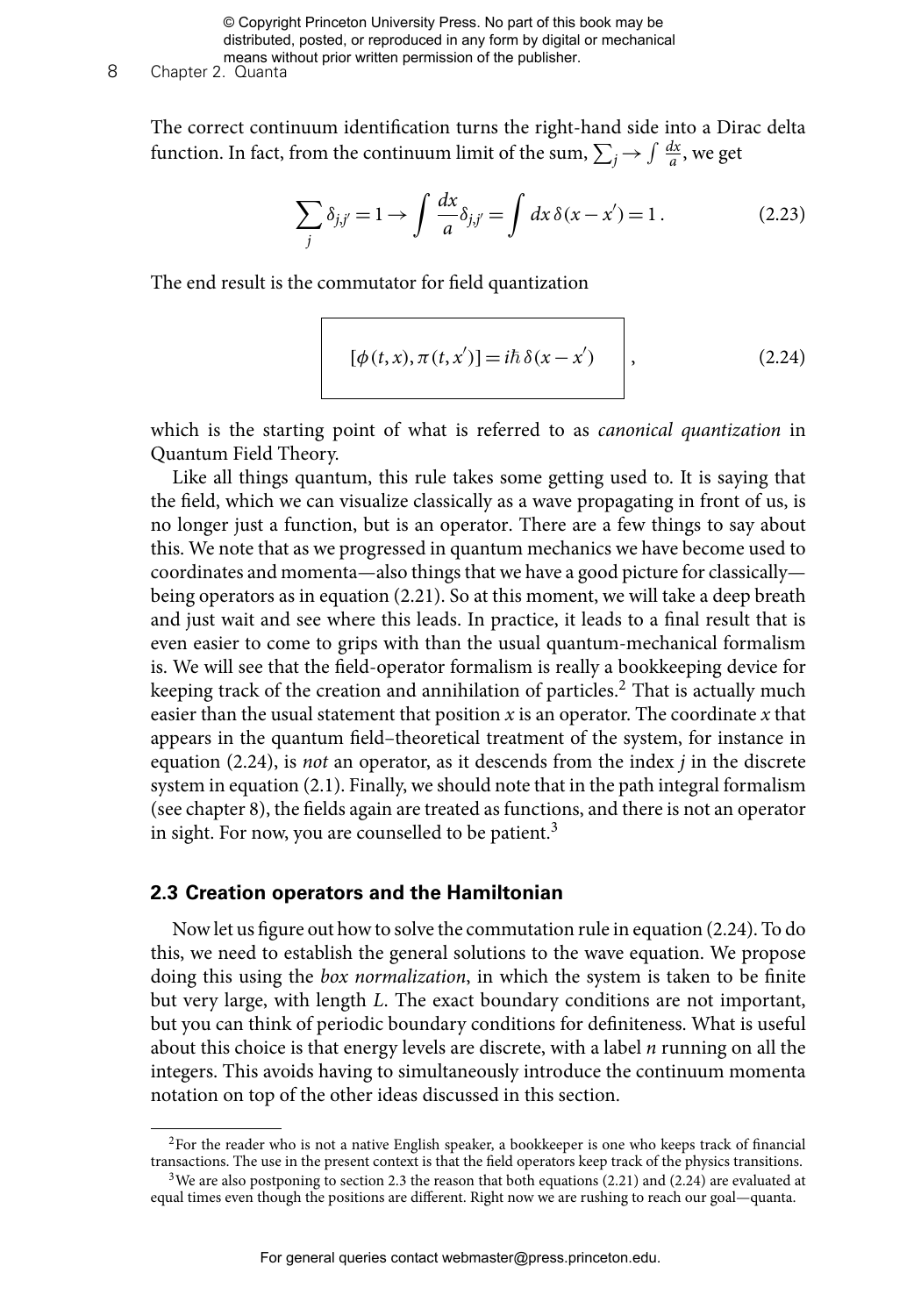The correct continuum identification turns the right-hand side into a Dirac delta function. In fact, from the continuum limit of the sum,  $\sum_j \rightarrow \int \frac{dx}{a}$ , we get

$$
\sum_{j} \delta_{j,j'} = 1 \to \int \frac{dx}{a} \delta_{j,j'} = \int dx \, \delta(x - x') = 1 \,. \tag{2.23}
$$

The end result is the commutator for field quantization

$$
[\phi(t,x),\pi(t,x')] = i\hbar \,\delta(x-x') \qquad (2.24)
$$

which is the starting point of what is referred to as *canonical quantization* in Quantum Field Theory.

Like all things quantum, this rule takes some getting used to. It is saying that the field, which we can visualize classically as a wave propagating in front of us, is no longer just a function, but is an operator. There are a few things to say about this. We note that as we progressed in quantum mechanics we have become used to coordinates and momenta—also things that we have a good picture for classically being operators as in equation (2.21). So at this moment, we will take a deep breath and just wait and see where this leads. In practice, it leads to a final result that is even easier to come to grips with than the usual quantum-mechanical formalism is. We will see that the field-operator formalism is really a bookkeeping device for keeping track of the creation and annihilation of particles.<sup>2</sup> That is actually much easier than the usual statement that position  $x$  is an operator. The coordinate  $x$  that appears in the quantum field–theoretical treatment of the system, for instance in equation (2.24), is *not* an operator, as it descends from the index *j* in the discrete system in equation (2.1). Finally, we should note that in the path integral formalism (see chapter 8), the fields again are treated as functions, and there is not an operator in sight. For now, you are counselled to be patient.<sup>3</sup>

### **2.3 Creation operators and the Hamiltonian**

Now let us figure out how to solve the commutation rule in equation (2.24). To do this, we need to establish the general solutions to the wave equation. We propose doing this using the *box normalization*, in which the system is taken to be finite but very large, with length *L*. The exact boundary conditions are not important, but you can think of periodic boundary conditions for definiteness. What is useful about this choice is that energy levels are discrete, with a label *n* running on all the integers. This avoids having to simultaneously introduce the continuum momenta notation on top of the other ideas discussed in this section.

<sup>2</sup>For the reader who is not a native English speaker, a bookkeeper is one who keeps track of financial transactions. The use in the present context is that the field operators keep track of the physics transitions.

<sup>&</sup>lt;sup>3</sup>We are also postponing to section 2.3 the reason that both equations (2.21) and (2.24) are evaluated at equal times even though the positions are different. Right now we are rushing to reach our goal—quanta.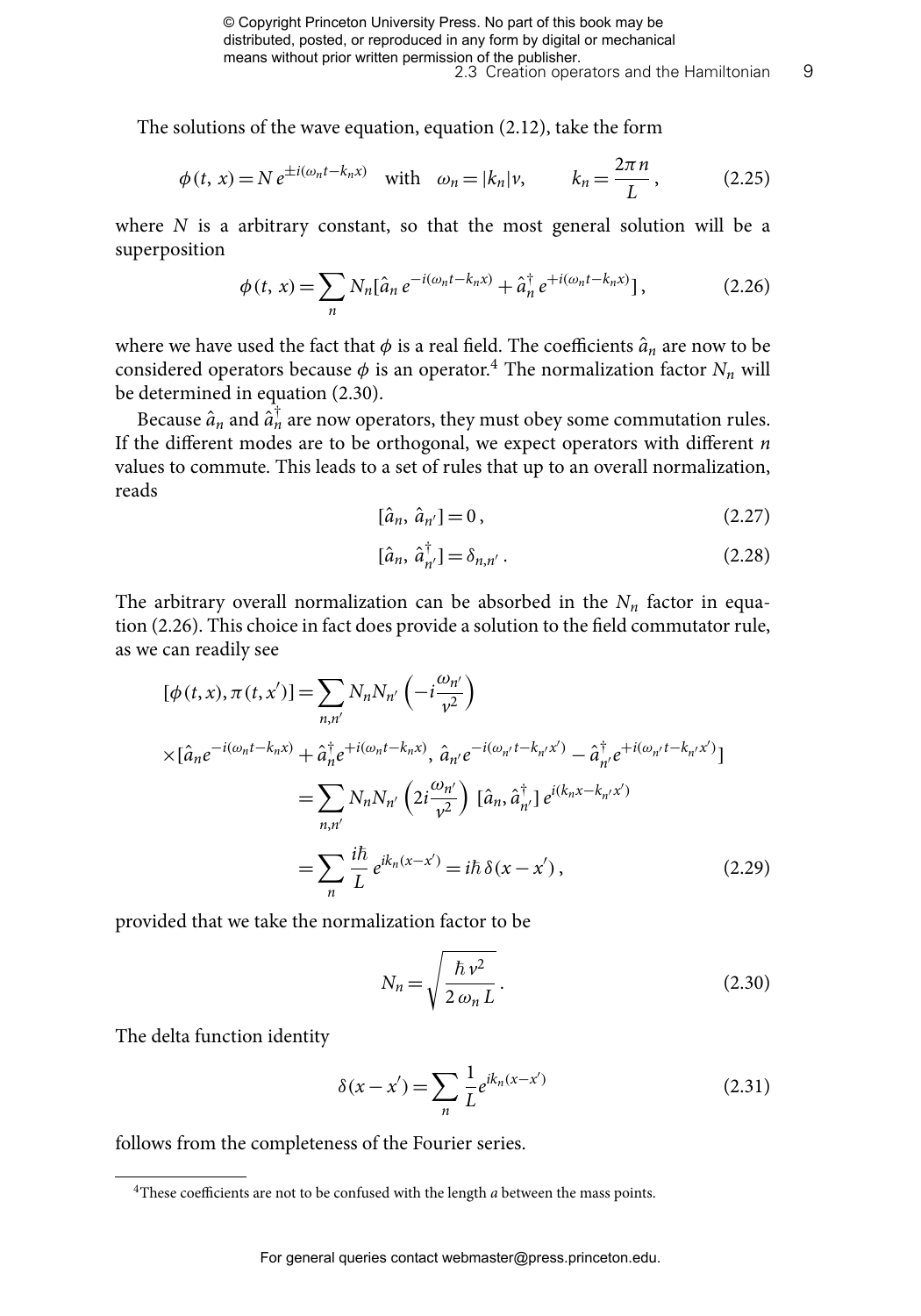The solutions of the wave equation, equation (2.12), take the form

$$
\phi(t, x) = N e^{\pm i(\omega_n t - k_n x)} \quad \text{with} \quad \omega_n = |k_n| \nu, \qquad k_n = \frac{2\pi n}{L}, \tag{2.25}
$$

where *N* is a arbitrary constant, so that the most general solution will be a superposition

$$
\phi(t, x) = \sum_{n} N_n[\hat{a}_n e^{-i(\omega_n t - k_n x)} + \hat{a}_n^{\dagger} e^{+i(\omega_n t - k_n x)}],
$$
\n(2.26)

where we have used the fact that  $\phi$  is a real field. The coefficients  $\hat{a}_n$  are now to be considered operators because  $\phi$  is an operator.<sup>4</sup> The normalization factor *N<sub>n</sub>* will be determined in equation (2.30).

Because  $\hat{a}_n$  and  $\hat{a}^\dagger_n$  are now operators, they must obey some commutation rules. If the different modes are to be orthogonal, we expect operators with different *n* values to commute. This leads to a set of rules that up to an overall normalization, reads

$$
[\hat{a}_n, \hat{a}_{n'}] = 0, \qquad (2.27)
$$

$$
[\hat{a}_n, \hat{a}_{n'}^\dagger] = \delta_{n,n'}.
$$
\n(2.28)

The arbitrary overall normalization can be absorbed in the  $N_n$  factor in equation (2.26). This choice in fact does provide a solution to the field commutator rule, as we can readily see

$$
[\phi(t, x), \pi(t, x')] = \sum_{n,n'} N_n N_{n'} \left( -i \frac{\omega_{n'}}{\nu^2} \right)
$$
  
 
$$
\times [\hat{a}_n e^{-i(\omega_n t - k_n x)} + \hat{a}_n^{\dagger} e^{+i(\omega_n t - k_n x)}, \hat{a}_{n'} e^{-i(\omega_{n'} t - k_{n'} x')} - \hat{a}_{n'}^{\dagger} e^{+i(\omega_{n'} t - k_{n'} x')}]
$$
  

$$
= \sum_{n,n'} N_n N_{n'} \left( 2i \frac{\omega_{n'}}{\nu^2} \right) [\hat{a}_n, \hat{a}_{n'}^{\dagger}] e^{i(k_n x - k_{n'} x')}
$$
  

$$
= \sum_{n} \frac{i\hbar}{L} e^{ik_n (x - x')} = i\hbar \delta(x - x'), \qquad (2.29)
$$

provided that we take the normalization factor to be

$$
N_n = \sqrt{\frac{\hbar v^2}{2 \omega_n L}}.
$$
\n(2.30)

The delta function identity

$$
\delta(x - x') = \sum_{n} \frac{1}{L} e^{ik_n(x - x')} \tag{2.31}
$$

follows from the completeness of the Fourier series.

<sup>4</sup>These coefficients are not to be confused with the length *a* between the mass points.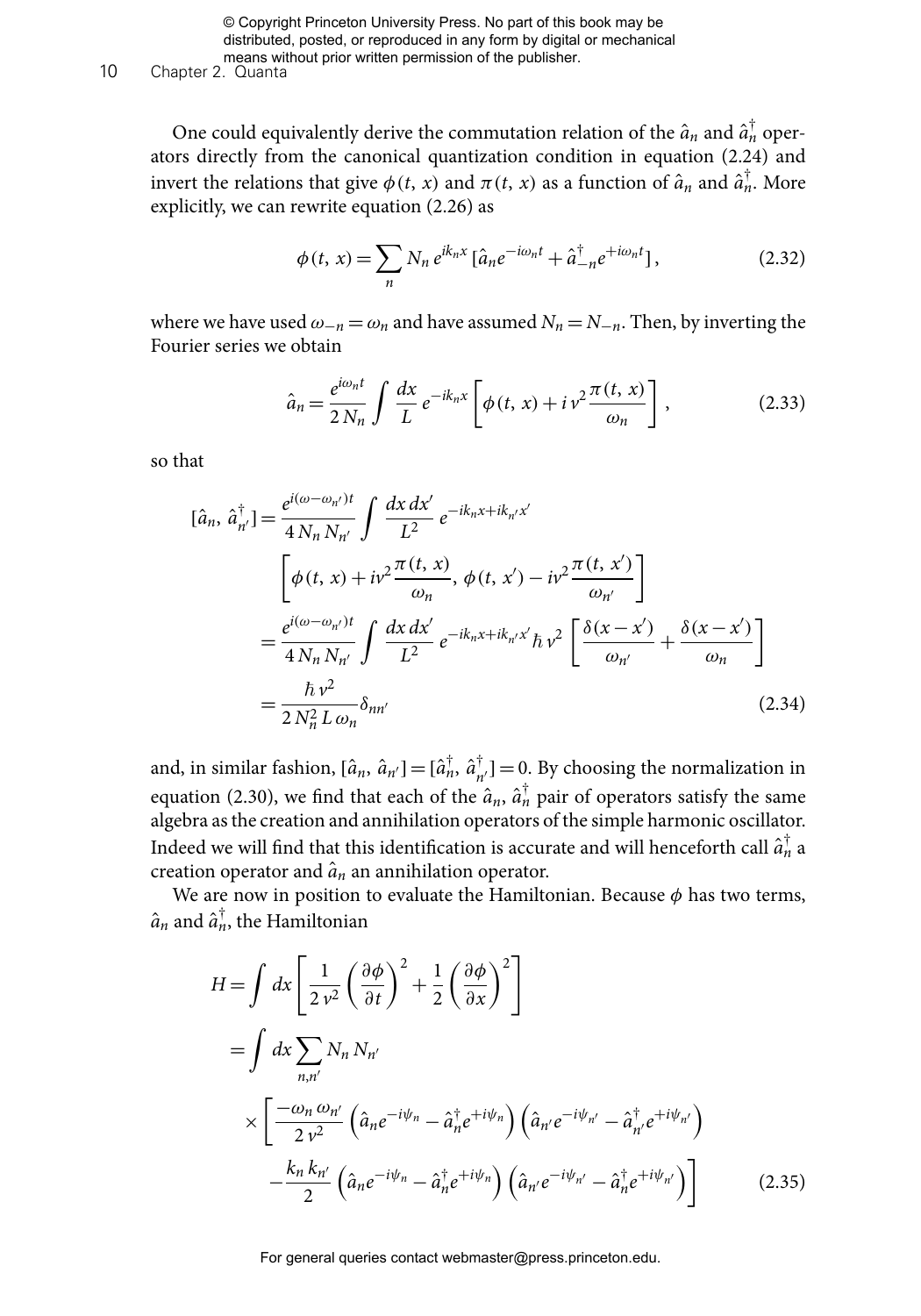means without prior written permission of the publisher.<br>10 Chapter 2. Quanta © Copyright Princeton University Press. No part of this book may be distributed, posted, or reproduced in any form by digital or mechanical

One could equivalently derive the commutation relation of the  $\hat{a}_n$  and  $\hat{a}^\dagger_n$  operators directly from the canonical quantization condition in equation (2.24) and invert the relations that give  $\phi$  (*t*, *x*) and  $\pi$  (*t*, *x*) as a function of  $\hat{a}_n$  and  $\hat{a}^\dagger_n$ . More explicitly, we can rewrite equation (2.26) as

$$
\phi(t, x) = \sum_{n} N_n e^{ik_n x} \left[ \hat{a}_n e^{-i\omega_n t} + \hat{a}_{-n}^{\dagger} e^{+i\omega_n t} \right],
$$
\n(2.32)

where we have used  $\omega_{-n} = \omega_n$  and have assumed  $N_n = N_{-n}$ . Then, by inverting the Fourier series we obtain

$$
\hat{a}_n = \frac{e^{i\omega_n t}}{2 N_n} \int \frac{dx}{L} e^{-ik_n x} \left[ \phi(t, x) + i v^2 \frac{\pi(t, x)}{\omega_n} \right],
$$
\n(2.33)

so that

$$
[\hat{a}_n, \hat{a}_{n'}^\dagger] = \frac{e^{i(\omega - \omega_{n'})t}}{4 N_n N_{n'}} \int \frac{dx \, dx'}{L^2} e^{-ik_n x + ik_{n'} x'}
$$

$$
= \frac{\left[\phi(t, x) + iv^2 \frac{\pi(t, x)}{\omega_n}, \phi(t, x') - iv^2 \frac{\pi(t, x')}{\omega_{n'}}\right]}{4 N_n N_{n'}} \int \frac{dx \, dx'}{L^2} e^{-ik_n x + ik_{n'} x'} \hbar v^2 \left[\frac{\delta(x - x')}{\omega_{n'}} + \frac{\delta(x - x')}{\omega_n}\right]}
$$

$$
= \frac{\hbar v^2}{2 N_n^2 L \omega_n} \delta_{nn'}
$$
(2.34)

and, in similar fashion,  $[\hat{a}_n, \hat{a}_{n'}] = [\hat{a}_n^{\dagger}, \hat{a}_{n'}^{\dagger}] = 0$ . By choosing the normalization in equation (2.30), we find that each of the  $\hat{a}_n$ ,  $\hat{a}_n^{\dagger}$  pair of operators satisfy the same algebra as the creation and annihilation operators of the simple harmonic oscillator. Indeed we will find that this identification is accurate and will henceforth call  $\hat{a}^{\dagger}_n$  a creation operator and  $\hat{a}_n$  an annihilation operator.

We are now in position to evaluate the Hamiltonian. Because  $\phi$  has two terms,  $\hat{a}_n$  and  $\hat{a}_n^{\dagger}$ , the Hamiltonian

$$
H = \int dx \left[ \frac{1}{2v^2} \left( \frac{\partial \phi}{\partial t} \right)^2 + \frac{1}{2} \left( \frac{\partial \phi}{\partial x} \right)^2 \right]
$$
  
= 
$$
\int dx \sum_{n,n'} N_n N_{n'}
$$
  

$$
\times \left[ \frac{-\omega_n \omega_{n'}}{2v^2} \left( \hat{a}_n e^{-i\psi_n} - \hat{a}_n^\dagger e^{+i\psi_n} \right) \left( \hat{a}_{n'} e^{-i\psi_{n'}} - \hat{a}_{n'}^\dagger e^{+i\psi_{n'}} \right) - \frac{k_n k_{n'}}{2} \left( \hat{a}_n e^{-i\psi_n} - \hat{a}_n^\dagger e^{+i\psi_n} \right) \left( \hat{a}_{n'} e^{-i\psi_{n'}} - \hat{a}_n^\dagger e^{+i\psi_{n'}} \right) \right]
$$
(2.35)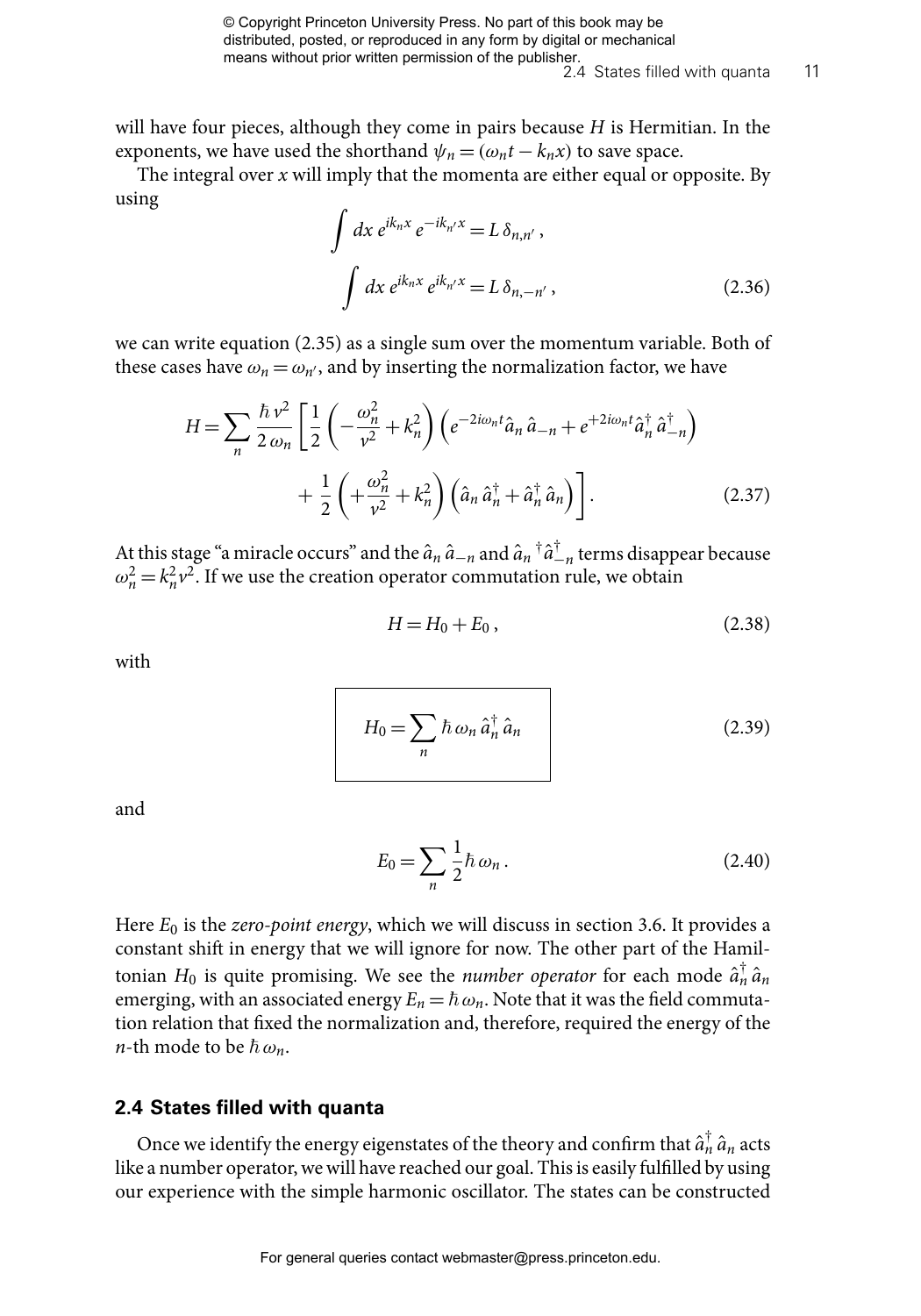will have four pieces, although they come in pairs because *H* is Hermitian. In the exponents, we have used the shorthand  $\psi_n = (\omega_n t - k_n x)$  to save space.

The integral over *x* will imply that the momenta are either equal or opposite. By using

$$
\int dx e^{ik_nx} e^{-ik_{n'}x} = L \delta_{n,n'},
$$
  

$$
\int dx e^{ik_nx} e^{ik_{n'}x} = L \delta_{n,-n'},
$$
 (2.36)

we can write equation (2.35) as a single sum over the momentum variable. Both of these cases have  $\omega_n = \omega_{n'}$ , and by inserting the normalization factor, we have

$$
H = \sum_{n} \frac{\hbar v^2}{2 \omega_n} \left[ \frac{1}{2} \left( -\frac{\omega_n^2}{v^2} + k_n^2 \right) \left( e^{-2i\omega_n t} \hat{a}_n \hat{a}_{-n} + e^{+2i\omega_n t} \hat{a}_n^\dagger \hat{a}_{-n}^\dagger \right) \right. \\
\left. + \frac{1}{2} \left( +\frac{\omega_n^2}{v^2} + k_n^2 \right) \left( \hat{a}_n \hat{a}_n^\dagger + \hat{a}_n^\dagger \hat{a}_n \right) \right].
$$
\n(2.37)

At this stage "a miracle occurs" and the  $\hat{a}_n \hat{a}_{-n}$  and  $\hat{a}_n \dagger \hat{a}_{-n}^\dagger$  terms disappear because  $\omega_n^2 = k_n^2 v^2$ . If we use the creation operator commutation rule, we obtain

$$
H = H_0 + E_0, \t\t(2.38)
$$

with

$$
H_0 = \sum_n \hbar \,\omega_n \,\hat{a}_n^\dagger \,\hat{a}_n \tag{2.39}
$$

and

$$
E_0 = \sum_n \frac{1}{2} \hbar \omega_n \,. \tag{2.40}
$$

Here *E*<sup>0</sup> is the *zero-point energy*, which we will discuss in section 3.6. It provides a constant shift in energy that we will ignore for now. The other part of the Hamiltonian  $H_0$  is quite promising. We see the *number operator* for each mode  $\hat{a}^\dagger_n\,\hat{a}_n$ emerging, with an associated energy  $E_n = \hbar \omega_n$ . Note that it was the field commutation relation that fixed the normalization and, therefore, required the energy of the *n*-th mode to be  $\hbar \omega_n$ .

### **2.4 States filled with quanta**

Once we identify the energy eigenstates of the theory and confirm that  $\hat{a}_n^{\dagger} \, \hat{a}_n$  acts like a number operator, we will have reached our goal. This is easily fulfilled by using our experience with the simple harmonic oscillator. The states can be constructed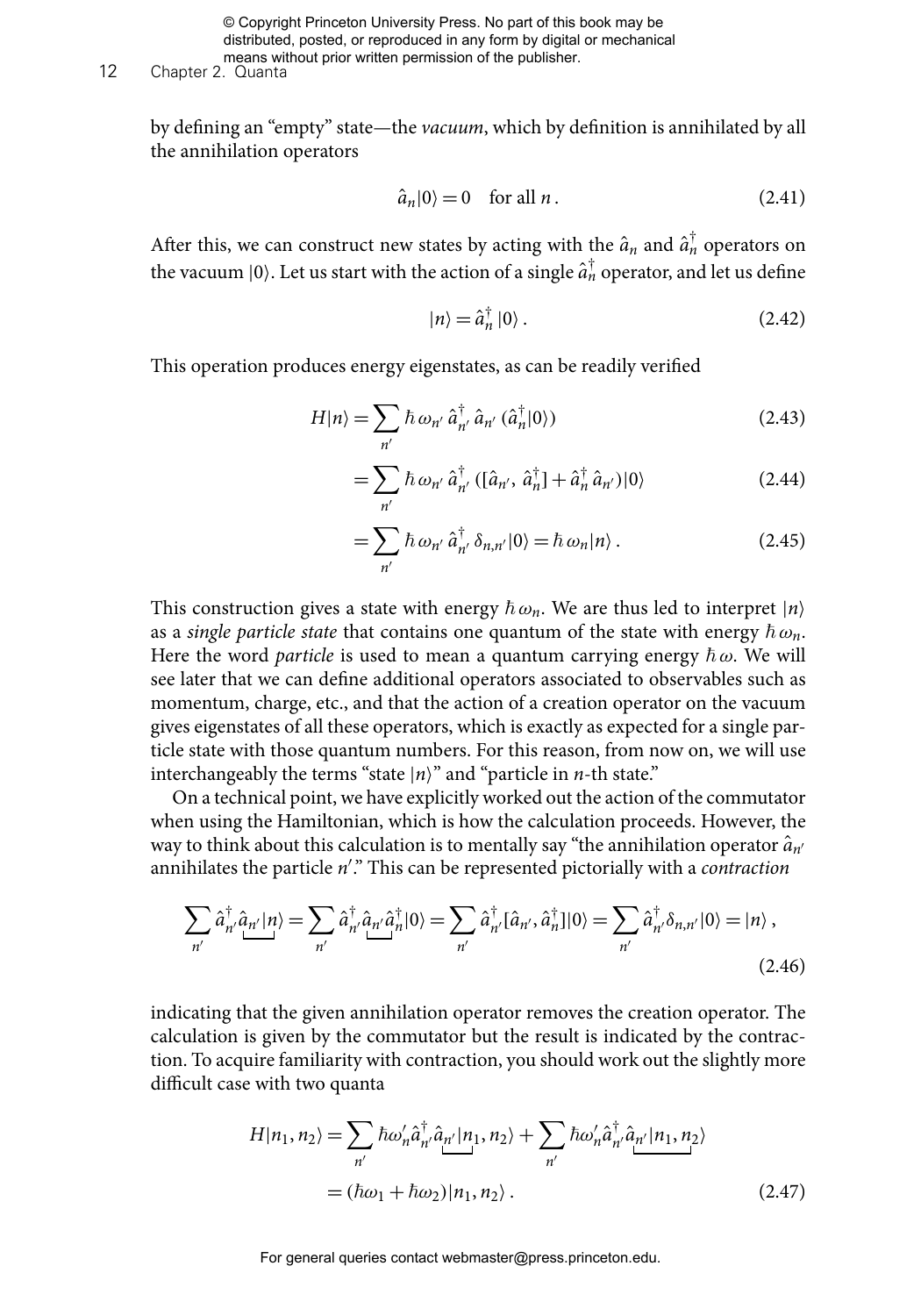by defining an "empty" state—the *vacuum*, which by definition is annihilated by all the annihilation operators

$$
\hat{a}_n|0\rangle = 0 \quad \text{for all } n. \tag{2.41}
$$

After this, we can construct new states by acting with the  $\hat{a}_n$  and  $\hat{a}_n^{\dagger}$  operators on the vacuum  $|0\rangle$ . Let us start with the action of a single  $\hat{a}^{\dagger}_n$  operator, and let us define

$$
|n\rangle = \hat{a}_n^\dagger |0\rangle. \tag{2.42}
$$

This operation produces energy eigenstates, as can be readily verified

$$
H|n\rangle = \sum_{n'} \hbar \omega_{n'} \hat{a}_{n'}^{\dagger} \hat{a}_{n'} (\hat{a}_{n}^{\dagger}|0\rangle)
$$
 (2.43)

$$
= \sum_{n'} \hbar \,\omega_{n'} \,\hat{a}_{n'}^{\dagger} \,([\hat{a}_{n'}, \,\hat{a}_{n}^{\dagger}] + \hat{a}_{n}^{\dagger} \,\hat{a}_{n'}) |0\rangle \tag{2.44}
$$

$$
= \sum_{n'} \hbar \omega_{n'} \hat{a}_{n'}^{\dagger} \delta_{n,n'} |0\rangle = \hbar \omega_n |n\rangle. \qquad (2.45)
$$

This construction gives a state with energy  $\hbar \omega_n$ . We are thus led to interpret  $|n\rangle$ as a *single particle state* that contains one quantum of the state with energy  $\hbar \omega_n$ . Here the word *particle* is used to mean a quantum carrying energy  $\hbar \omega$ . We will see later that we can define additional operators associated to observables such as momentum, charge, etc., and that the action of a creation operator on the vacuum gives eigenstates of all these operators, which is exactly as expected for a single particle state with those quantum numbers. For this reason, from now on, we will use interchangeably the terms "state  $|n\rangle$ " and "particle in *n*-th state."

On a technical point, we have explicitly worked out the action of the commutator when using the Hamiltonian, which is how the calculation proceeds. However, the way to think about this calculation is to mentally say "the annihilation operator  $\hat{a}_{n'}$ annihilates the particle *n* ." This can be represented pictorially with a *contraction*

$$
\sum_{n'} \hat{a}_{n'}^\dagger \hat{a}_{n'} |n\rangle = \sum_{n'} \hat{a}_{n'}^\dagger \hat{a}_{n'} \hat{a}_{n'}^\dagger |0\rangle = \sum_{n'} \hat{a}_{n'}^\dagger [\hat{a}_{n'}, \hat{a}_{n}^\dagger] |0\rangle = \sum_{n'} \hat{a}_{n'}^\dagger \delta_{n,n'} |0\rangle = |n\rangle ,
$$
\n(2.46)

indicating that the given annihilation operator removes the creation operator. The calculation is given by the commutator but the result is indicated by the contraction. To acquire familiarity with contraction, you should work out the slightly more difficult case with two quanta

$$
H|n_1, n_2\rangle = \sum_{n'} \hbar \omega'_n \hat{a}_{n'}^\dagger \hat{a}_{n'} |n_1, n_2\rangle + \sum_{n'} \hbar \omega'_n \hat{a}_{n'}^\dagger \hat{a}_{n'} |n_1, n_2\rangle
$$
  
=  $(\hbar \omega_1 + \hbar \omega_2) |n_1, n_2\rangle$ . (2.47)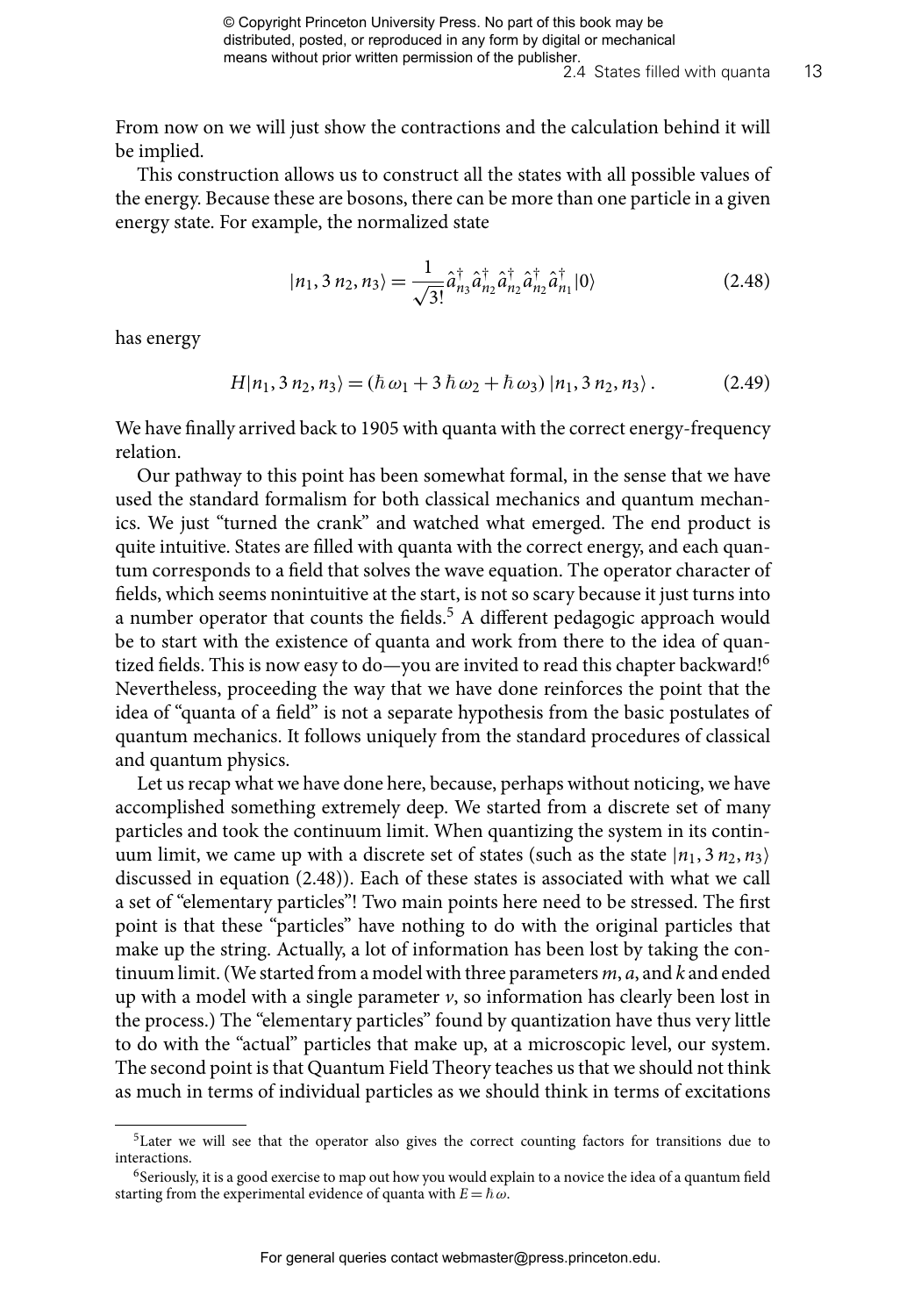From now on we will just show the contractions and the calculation behind it will be implied.

This construction allows us to construct all the states with all possible values of the energy. Because these are bosons, there can be more than one particle in a given energy state. For example, the normalized state

$$
|n_1, 3 n_2, n_3\rangle = \frac{1}{\sqrt{3!}} \hat{a}_{n_3}^\dagger \hat{a}_{n_2}^\dagger \hat{a}_{n_2}^\dagger \hat{a}_{n_2}^\dagger \hat{a}_{n_1}^\dagger |0\rangle
$$
 (2.48)

has energy

$$
H|n_1, 3 n_2, n_3\rangle = (\hbar \omega_1 + 3 \hbar \omega_2 + \hbar \omega_3) |n_1, 3 n_2, n_3\rangle.
$$
 (2.49)

We have finally arrived back to 1905 with quanta with the correct energy-frequency relation.

Our pathway to this point has been somewhat formal, in the sense that we have used the standard formalism for both classical mechanics and quantum mechanics. We just "turned the crank" and watched what emerged. The end product is quite intuitive. States are filled with quanta with the correct energy, and each quantum corresponds to a field that solves the wave equation. The operator character of fields, which seems nonintuitive at the start, is not so scary because it just turns into a number operator that counts the fields.<sup>5</sup> A different pedagogic approach would be to start with the existence of quanta and work from there to the idea of quantized fields. This is now easy to do—you are invited to read this chapter backward!<sup>6</sup> Nevertheless, proceeding the way that we have done reinforces the point that the idea of "quanta of a field" is not a separate hypothesis from the basic postulates of quantum mechanics. It follows uniquely from the standard procedures of classical and quantum physics.

Let us recap what we have done here, because, perhaps without noticing, we have accomplished something extremely deep. We started from a discrete set of many particles and took the continuum limit. When quantizing the system in its continuum limit, we came up with a discrete set of states (such as the state  $|n_1, 3 n_2, n_3\rangle$ discussed in equation (2.48)). Each of these states is associated with what we call a set of "elementary particles"! Two main points here need to be stressed. The first point is that these "particles" have nothing to do with the original particles that make up the string. Actually, a lot of information has been lost by taking the continuum limit. (We started from a model with three parameters*m*, *a*, and *k* and ended up with a model with a single parameter *v*, so information has clearly been lost in the process.) The "elementary particles" found by quantization have thus very little to do with the "actual" particles that make up, at a microscopic level, our system. The second point is that Quantum Field Theory teaches us that we should not think as much in terms of individual particles as we should think in terms of excitations

<sup>&</sup>lt;sup>5</sup>Later we will see that the operator also gives the correct counting factors for transitions due to interactions.

<sup>6</sup>Seriously, it is a good exercise to map out how you would explain to a novice the idea of a quantum field starting from the experimental evidence of quanta with  $E = \hbar \omega$ .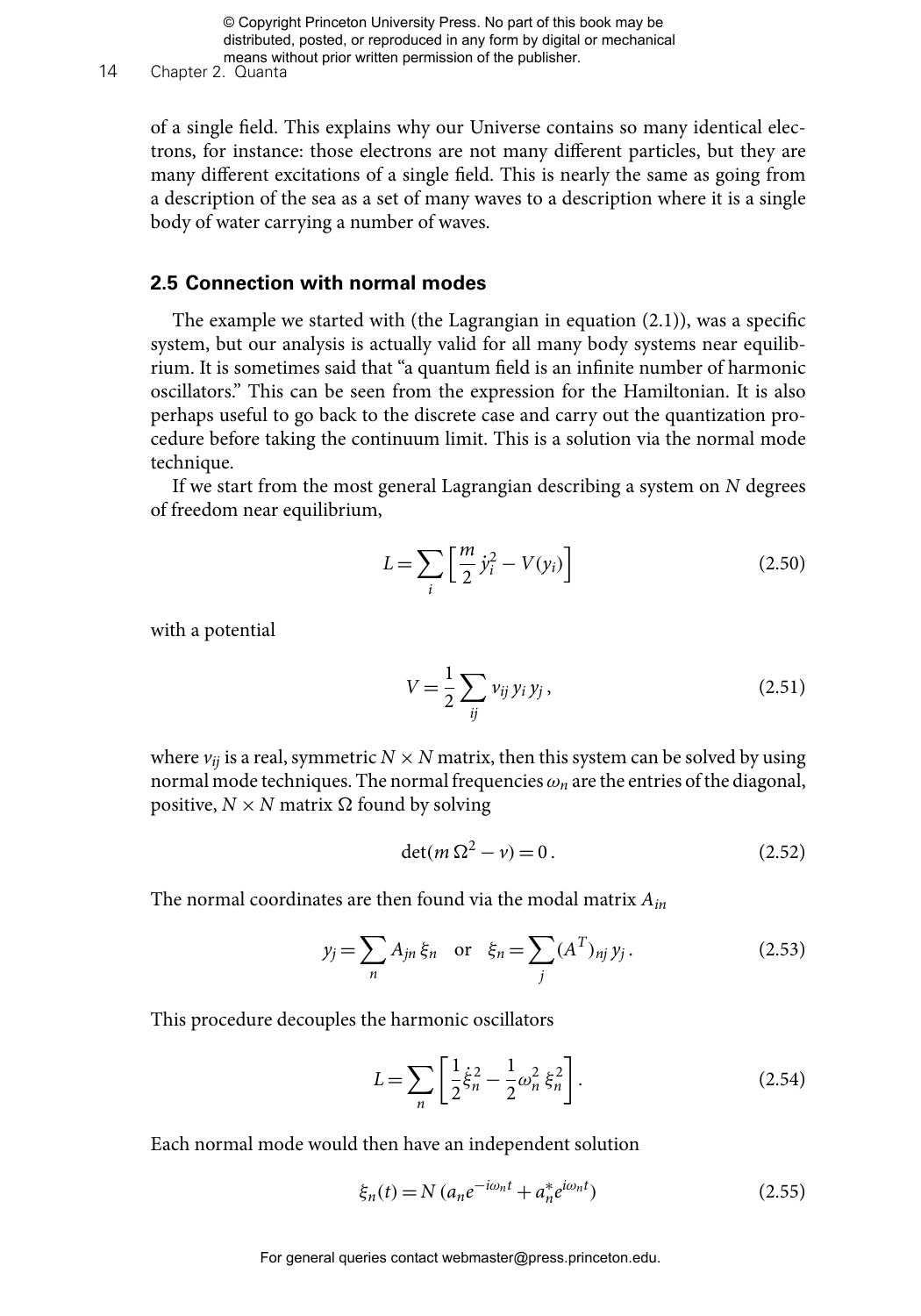of a single field. This explains why our Universe contains so many identical electrons, for instance: those electrons are not many different particles, but they are many different excitations of a single field. This is nearly the same as going from a description of the sea as a set of many waves to a description where it is a single body of water carrying a number of waves.

### **2.5 Connection with normal modes**

The example we started with (the Lagrangian in equation (2.1)), was a specific system, but our analysis is actually valid for all many body systems near equilibrium. It is sometimes said that "a quantum field is an infinite number of harmonic oscillators." This can be seen from the expression for the Hamiltonian. It is also perhaps useful to go back to the discrete case and carry out the quantization procedure before taking the continuum limit. This is a solution via the normal mode technique.

If we start from the most general Lagrangian describing a system on *N* degrees of freedom near equilibrium,

$$
L = \sum_{i} \left[ \frac{m}{2} \dot{y}_i^2 - V(y_i) \right]
$$
 (2.50)

with a potential

$$
V = \frac{1}{2} \sum_{ij} v_{ij} y_i y_j,
$$
 (2.51)

where  $v_{ij}$  is a real, symmetric  $N \times N$  matrix, then this system can be solved by using normal mode techniques. The normal frequencies  $\omega_n$  are the entries of the diagonal, positive,  $N \times N$  matrix  $\Omega$  found by solving

$$
\det(m\,\Omega^2 - v) = 0\,. \tag{2.52}
$$

The normal coordinates are then found via the modal matrix *Ain*

$$
y_j = \sum_n A_{jn} \xi_n
$$
 or  $\xi_n = \sum_j (A^T)_{nj} y_j$ . (2.53)

This procedure decouples the harmonic oscillators

$$
L = \sum_{n} \left[ \frac{1}{2} \dot{\xi}_{n}^{2} - \frac{1}{2} \omega_{n}^{2} \xi_{n}^{2} \right].
$$
 (2.54)

Each normal mode would then have an independent solution

$$
\xi_n(t) = N \left( a_n e^{-i\omega_n t} + a_n^* e^{i\omega_n t} \right) \tag{2.55}
$$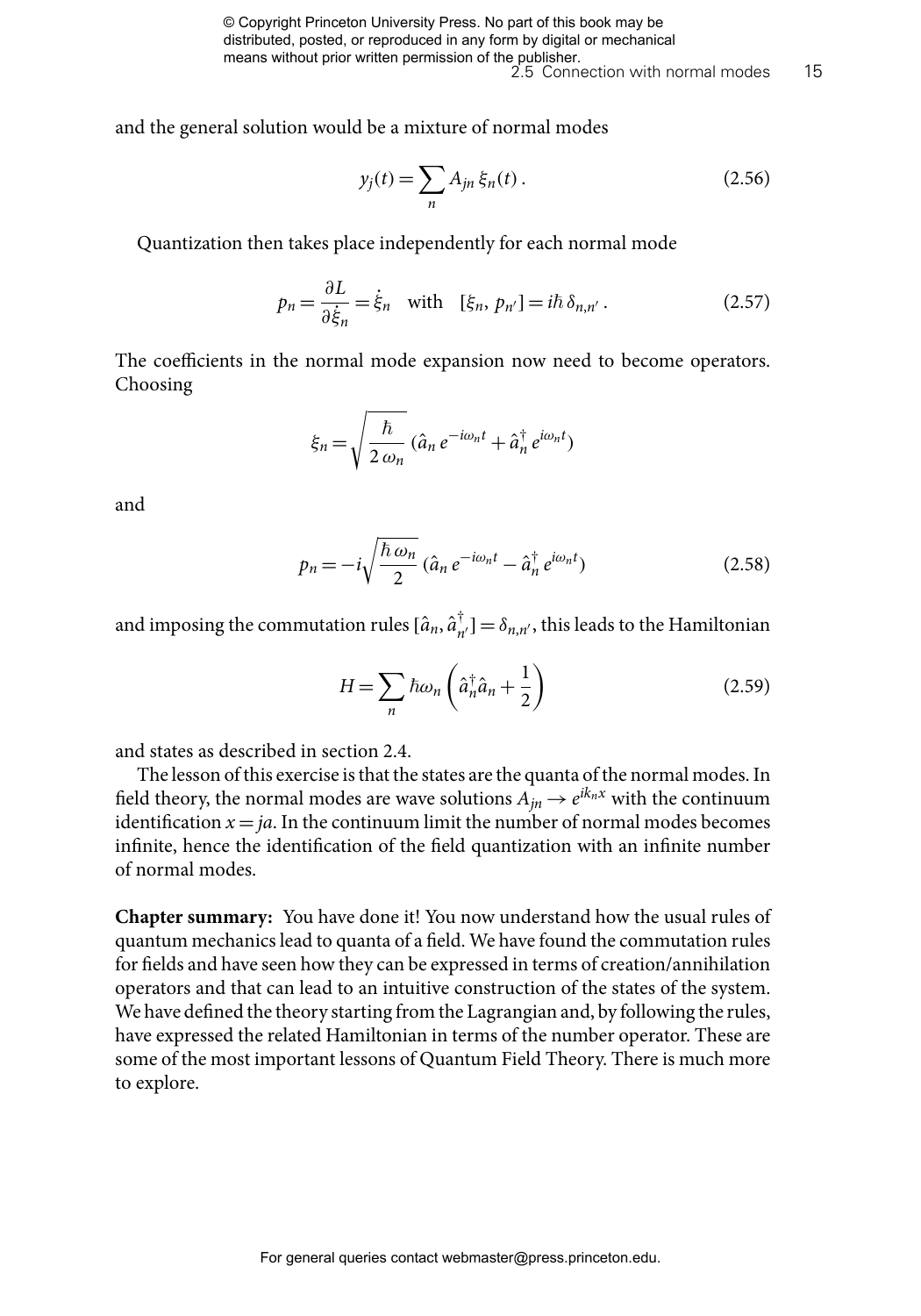and the general solution would be a mixture of normal modes

$$
y_j(t) = \sum_n A_{jn} \xi_n(t) \,. \tag{2.56}
$$

Quantization then takes place independently for each normal mode

$$
p_n = \frac{\partial L}{\partial \dot{\xi}_n} = \dot{\xi}_n \quad \text{with} \quad [\xi_n, \, p_{n'}] = i\hbar \, \delta_{n,n'} \,. \tag{2.57}
$$

The coefficients in the normal mode expansion now need to become operators. Choosing

$$
\xi_n = \sqrt{\frac{\hbar}{2 \omega_n}} (\hat{a}_n e^{-i\omega_n t} + \hat{a}_n^{\dagger} e^{i\omega_n t})
$$

and

$$
p_n = -i\sqrt{\frac{\hbar \omega_n}{2}} (\hat{a}_n e^{-i\omega_n t} - \hat{a}_n^{\dagger} e^{i\omega_n t})
$$
 (2.58)

and imposing the commutation rules  $[\hat{a}_n, \hat{a}_{n'}^\dagger] = \delta_{n,n'}$ , this leads to the Hamiltonian

$$
H = \sum_{n} \hbar \omega_n \left( \hat{a}_n^{\dagger} \hat{a}_n + \frac{1}{2} \right) \tag{2.59}
$$

and states as described in section 2.4.

The lesson of this exercise is that the states are the quanta of the normal modes. In field theory, the normal modes are wave solutions  $A_{in} \rightarrow e^{ik_nx}$  with the continuum identification  $x = ja$ . In the continuum limit the number of normal modes becomes infinite, hence the identification of the field quantization with an infinite number of normal modes.

**Chapter summary:** You have done it! You now understand how the usual rules of quantum mechanics lead to quanta of a field. We have found the commutation rules for fields and have seen how they can be expressed in terms of creation/annihilation operators and that can lead to an intuitive construction of the states of the system. We have defined the theory starting from the Lagrangian and, by following the rules, have expressed the related Hamiltonian in terms of the number operator. These are some of the most important lessons of Quantum Field Theory. There is much more to explore.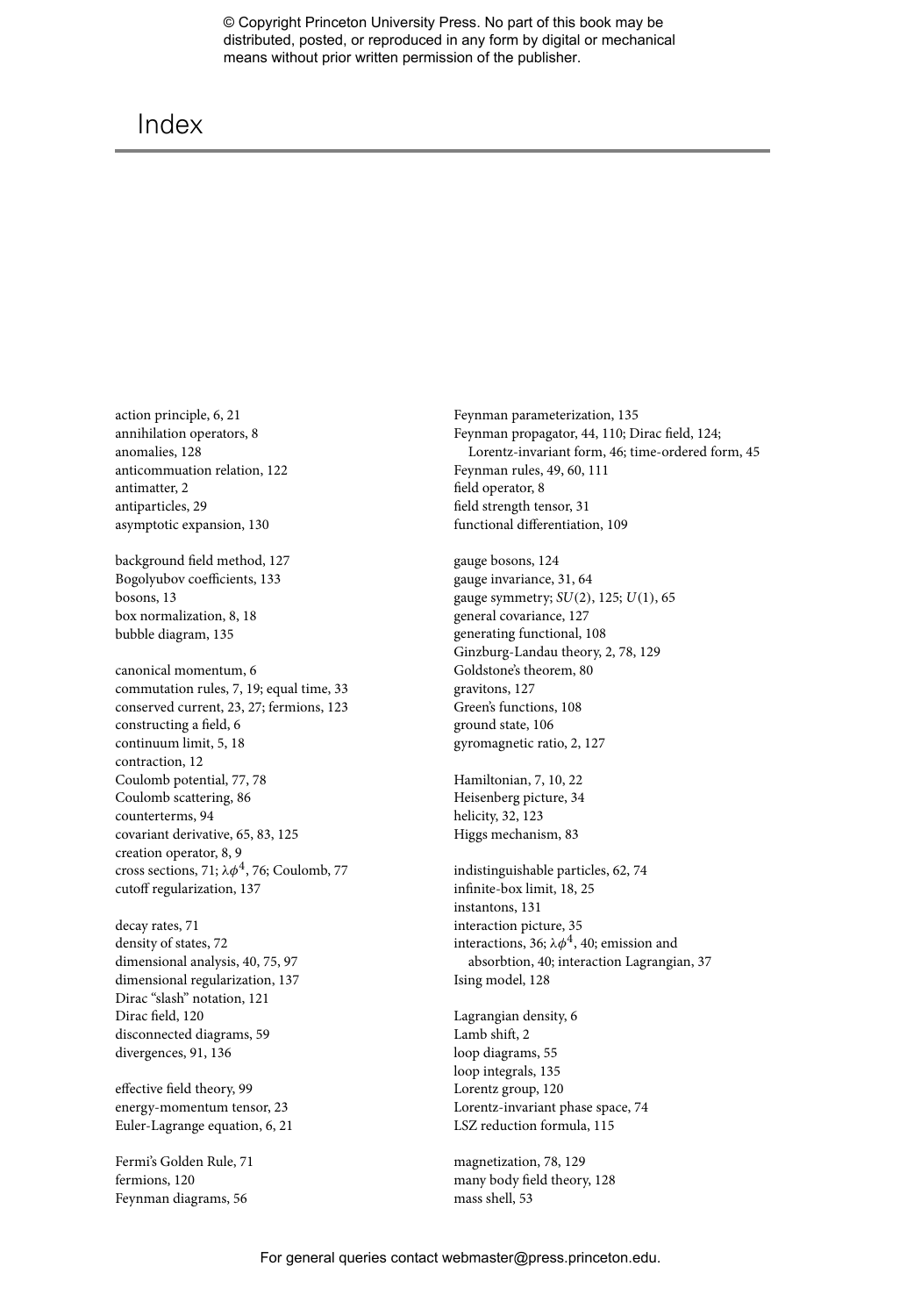### Index

action principle, 6, 21 annihilation operators, 8 anomalies, 128 anticommuation relation, 122 antimatter, 2 antiparticles, 29 asymptotic expansion, 130

background field method, 127 Bogolyubov coefficients, 133 bosons, 13 box normalization, 8, 18 bubble diagram, 135

canonical momentum, 6 commutation rules, 7, 19; equal time, 33 conserved current, 23, 27; fermions, 123 constructing a field, 6 continuum limit, 5, 18 contraction, 12 Coulomb potential, 77, 78 Coulomb scattering, 86 counterterms, 94 covariant derivative, 65, 83, 125 creation operator, 8, 9 cross sections, 71;  $\lambda \phi^4$ , 76; Coulomb, 77 cutoff regularization, 137

decay rates, 71 density of states, 72 dimensional analysis, 40, 75, 97 dimensional regularization, 137 Dirac "slash" notation, 121 Dirac field, 120 disconnected diagrams, 59 divergences, 91, 136

effective field theory, 99 energy-momentum tensor, 23 Euler-Lagrange equation, 6, 21

Fermi's Golden Rule, 71 fermions, 120 Feynman diagrams, 56

Feynman parameterization, 135 Feynman propagator, 44, 110; Dirac field, 124; Lorentz-invariant form, 46; time-ordered form, 45 Feynman rules, 49, 60, 111 field operator, 8 field strength tensor, 31 functional differentiation, 109

gauge bosons, 124 gauge invariance, 31, 64 gauge symmetry; *SU*(2), 125; *U*(1), 65 general covariance, 127 generating functional, 108 Ginzburg-Landau theory, 2, 78, 129 Goldstone's theorem, 80 gravitons, 127 Green's functions, 108 ground state, 106 gyromagnetic ratio, 2, 127

Hamiltonian, 7, 10, 22 Heisenberg picture, 34 helicity, 32, 123 Higgs mechanism, 83

indistinguishable particles, 62, 74 infinite-box limit, 18, 25 instantons, 131 interaction picture, 35 interactions, 36;  $\lambda \phi^4$ , 40; emission and absorbtion, 40; interaction Lagrangian, 37 Ising model, 128

Lagrangian density, 6 Lamb shift, 2 loop diagrams, 55 loop integrals, 135 Lorentz group, 120 Lorentz-invariant phase space, 74 LSZ reduction formula, 115

magnetization, 78, 129 many body field theory, 128 mass shell, 53